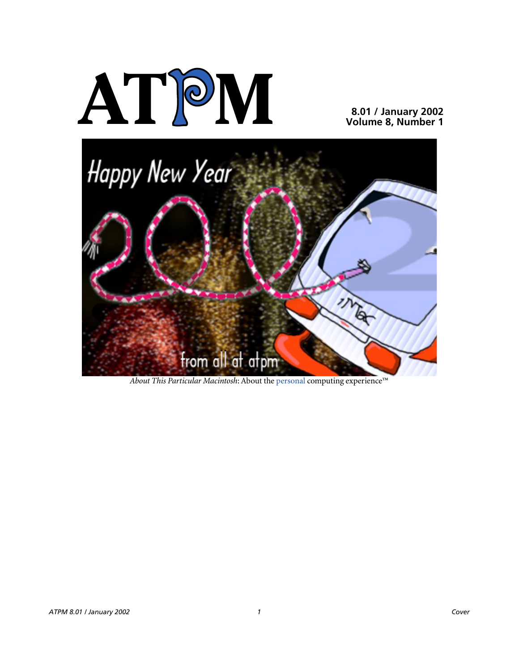

**8.01 / January 2002 Volume 8, Number 1**



*About This Particular Macintosh*: About the personal computing experience™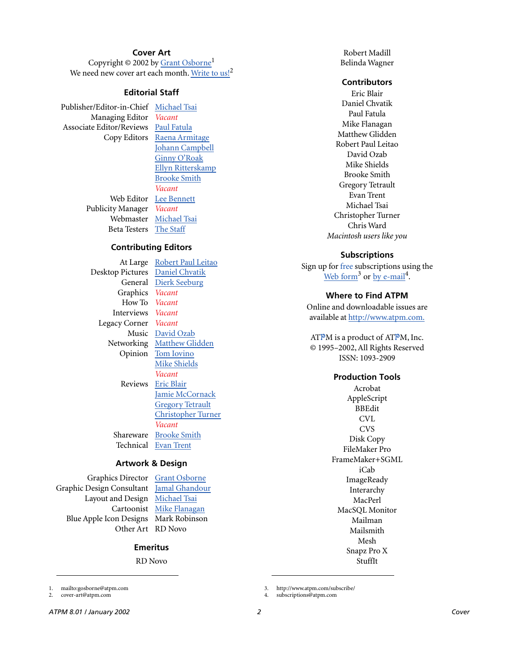#### **Cover Art**

Copyright  $\odot$  2002 by Grant Osborne<sup>1</sup> We need new cover art each month. [Write to us!](mailto:cover-art@atpm.com)<sup>2</sup>

#### **Editorial Staff**

Publisher/Editor-in-Chief [Michael Tsai](mailto:mtsai@atpm.com) Managing Editor *Vacant* Associate Editor/Reviews [Paul Fatula](mailto:pfatula@atpm.com)

Copy Editors [Raena Armitage](mailto:rarmitage@atpm.com) [Johann Campbell](mailto:jcampbell@atpm.com) [Ginny O'Roak](mailto:goroak@atpm.com) [Ellyn Ritterskamp](mailto:eritterskamp@atpm.com) [Brooke Smith](mailto:bsmith@atpm.com) *Vacant* Web Editor [Lee Bennett](mailto:lbennett@atpm.com) Publicity Manager *Vacant* Webmaster [Michael Tsai](mailto:mtsai@atpm.com) Beta Testers [The Staff](mailto:editor@atpm.com)

#### **Contributing Editors**

At Large Robert Paul Leitao Desktop Pictures [Daniel Chvatik](mailto:dchvatik@atpm.com) General [Dierk Seeburg](mailto:dseeburg@atpm.com) Graphics *Vacant* How To *Vacant* Interviews *Vacant* Legacy Corner *Vacant* Music [David Ozab](mailto:dozab@atpm.com) Networking [Matthew Glidden](mailto:mglidden@atpm.com) Opinion [Tom Iovino](mailto:tiovino@atpm.com) [Mike Shields](mailto:mshields@atpm.com) *Vacant* Reviews [Eric Blair](mailto:eblair@atpm.com) [Jamie McCornack](mailto:jmccornack@atpm.com) [Gregory Tetrault](mailto:gtetrault@atpm.com) [Christopher Turner](mailto:cturner@atpm.com) *Vacant* Shareware [Brooke Smith](mailto:bsmith@atpm.com) Technical [Evan Trent](mailto:etrent@atpm.com)

#### **Artwork & Design**

Graphics Director [Grant Osborne](mailto:gosborne@atpm.com) Graphic Design Consultant [Jamal Ghandour](mailto:jghandour@atpm.com) Layout and Design [Michael Tsai](mailto:mtsai@atpm.com) Blue Apple Icon Designs Mark Robinson Other Art RD Novo

Cartoonist [Mike Flanagan](mailto:sensible@sensible.screaming.net)

#### **Emeritus**

RD Novo

1. mailto:gosborne@atpm.com

2. cover-art@atpm.com

Robert Madill Belinda Wagner

#### **Contributors**

Eric Blair Daniel Chvatik Paul Fatula Mike Flanagan Matthew Glidden Robert Paul Leitao David Ozab Mike Shields Brooke Smith Gregory Tetrault Evan Trent Michael Tsai Christopher Turner Chris Ward *Macintosh users like you*

#### **Subscriptions**

Sign up for free subscriptions using the [Web form](http://www.atpm.com/subscribe/)<sup>3</sup> or [by e-mail](mailto:subscriptions@atpm.com)<sup>4</sup>.

#### **Where to Find ATPM**

Online and downloadable issues are available at [http://www.atpm.com.](http://www.atpm.com)

ATPM is a product of ATPM, Inc. © 1995–2002, All Rights Reserved ISSN: 1093-2909

#### **Production Tools**

Acrobat AppleScript BBEdit CVL **CVS** Disk Copy FileMaker Pro FrameMaker+SGML iCab **ImageReady** Interarchy MacPerl MacSQL Monitor Mailman Mailsmith Mesh Snapz Pro X StuffIt

3. http://www.atpm.com/subscribe/

4. subscriptions@atpm.com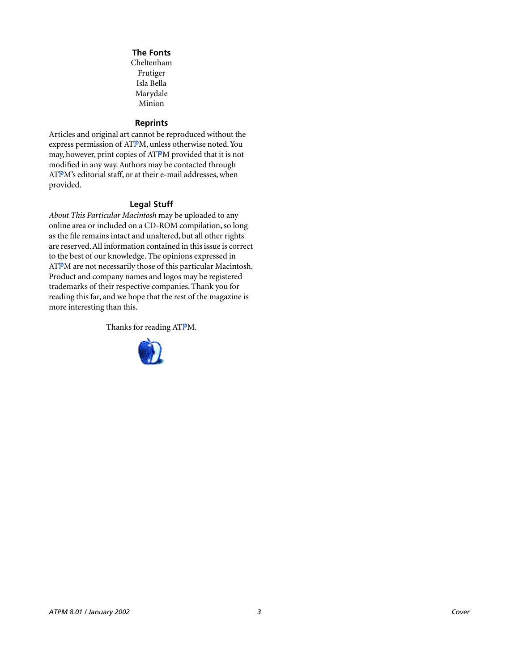#### **The Fonts**

Cheltenham Frutiger Isla Bella Marydale Minion

#### **Reprints**

Articles and original art cannot be reproduced without the express permission of ATPM, unless otherwise noted. You may, however, print copies of ATPM provided that it is not modified in any way. Authors may be contacted through ATPM's editorial staff, or at their e-mail addresses, when provided.

#### **Legal Stuff**

*About This Particular Macintosh* may be uploaded to any online area or included on a CD-ROM compilation, so long as the file remains intact and unaltered, but all other rights are reserved. All information contained in this issue is correct to the best of our knowledge. The opinions expressed in ATPM are not necessarily those of this particular Macintosh. Product and company names and logos may be registered trademarks of their respective companies. Thank you for reading this far, and we hope that the rest of the magazine is more interesting than this.

Thanks for reading ATPM.

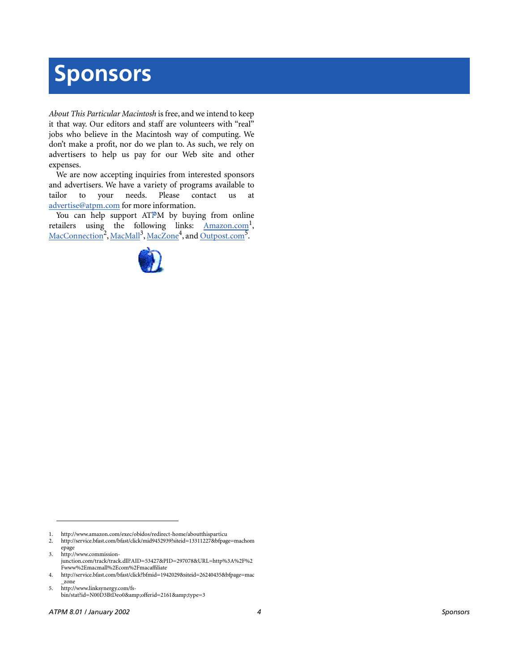# **Sponsors**

*About This Particular Macintosh* is free, and we intend to keep it that way. Our editors and staff are volunteers with "real" jobs who believe in the Macintosh way of computing. We don't make a profit, nor do we plan to. As such, we rely on advertisers to help us pay for our Web site and other expenses.

We are now accepting inquiries from interested sponsors and advertisers. We have a variety of programs available to tailor to your needs. Please contact us at [advertise@atpm.com](mailto:advertise@atpm.com) for more information.

You can help support ATPM by buying from online retailers using the following links: Amazon.com<sup>1</sup>, [MacConnection](http://service.bfast.com/bfast/click/mid9452939?siteid=13311227&bfpage=machomepage)<sup>2</sup>, [MacMall](http://www.commission-junction.com/track/track.dll?AID=53427&PID=297078&URL=http%3A%2F%2Fwww%2Emacmall%2Ecom%2Fmacaffiliate)<sup>3</sup>, [MacZone](http://service.bfast.com/bfast/click?bfmid=1942029&siteid=26240435&bfpage=mac_zone)<sup>4</sup>, and Outpost.com<sup>5</sup>.



2. http://service.bfast.com/bfast/click/mid9452939?siteid=13311227&bfpage=machom epage 3. http://www.commission-

junction.com/track/track.dll?AID=53427&PID=297078&URL=http%3A%2F%2 Fwww%2Emacmall%2Ecom%2Fmacaffiliate

5. http://www.linksynergy.com/fsbin/stat?id=N00D3BtDeo0&offerid=2161&type=3

<sup>1.</sup> http://www.amazon.com/exec/obidos/redirect-home/aboutthisparticu

<sup>4.</sup> http://service.bfast.com/bfast/click?bfmid=1942029&siteid=26240435&bfpage=mac \_zone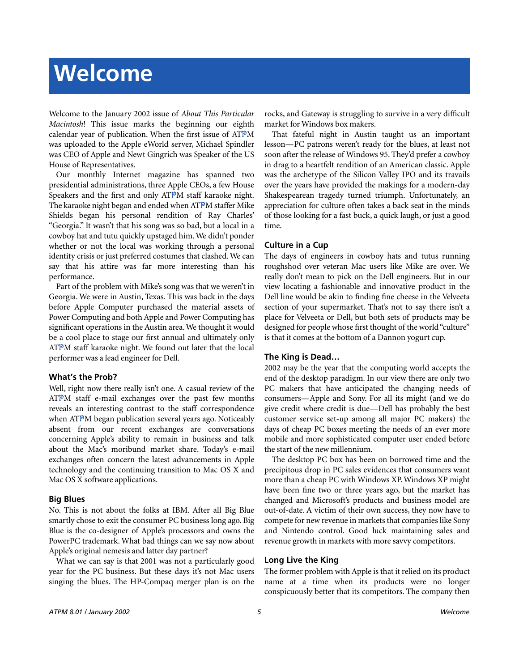# **Welcome**

Welcome to the January 2002 issue of *About This Particular Macintosh*! This issue marks the beginning our eighth calendar year of publication. When the first issue of ATPM was uploaded to the Apple eWorld server, Michael Spindler was CEO of Apple and Newt Gingrich was Speaker of the US House of Representatives.

Our monthly Internet magazine has spanned two presidential administrations, three Apple CEOs, a few House Speakers and the first and only ATPM staff karaoke night. The karaoke night began and ended when ATPM staffer Mike Shields began his personal rendition of Ray Charles' "Georgia." It wasn't that his song was so bad, but a local in a cowboy hat and tutu quickly upstaged him. We didn't ponder whether or not the local was working through a personal identity crisis or just preferred costumes that clashed. We can say that his attire was far more interesting than his performance.

Part of the problem with Mike's song was that we weren't in Georgia. We were in Austin, Texas. This was back in the days before Apple Computer purchased the material assets of Power Computing and both Apple and Power Computing has significant operations in the Austin area. We thought it would be a cool place to stage our first annual and ultimately only ATPM staff karaoke night. We found out later that the local performer was a lead engineer for Dell.

#### **What's the Prob?**

Well, right now there really isn't one. A casual review of the ATPM staff e-mail exchanges over the past few months reveals an interesting contrast to the staff correspondence when ATPM began publication several years ago. Noticeably absent from our recent exchanges are conversations concerning Apple's ability to remain in business and talk about the Mac's moribund market share. Today's e-mail exchanges often concern the latest advancements in Apple technology and the continuing transition to Mac OS X and Mac OS X software applications.

#### **Big Blues**

No. This is not about the folks at IBM. After all Big Blue smartly chose to exit the consumer PC business long ago. Big Blue is the co-designer of Apple's processors and owns the PowerPC trademark. What bad things can we say now about Apple's original nemesis and latter day partner?

What we can say is that 2001 was not a particularly good year for the PC business. But these days it's not Mac users singing the blues. The HP-Compaq merger plan is on the rocks, and Gateway is struggling to survive in a very difficult market for Windows box makers.

That fateful night in Austin taught us an important lesson—PC patrons weren't ready for the blues, at least not soon after the release of Windows 95. They'd prefer a cowboy in drag to a heartfelt rendition of an American classic. Apple was the archetype of the Silicon Valley IPO and its travails over the years have provided the makings for a modern-day Shakespearean tragedy turned triumph. Unfortunately, an appreciation for culture often takes a back seat in the minds of those looking for a fast buck, a quick laugh, or just a good time.

#### **Culture in a Cup**

The days of engineers in cowboy hats and tutus running roughshod over veteran Mac users like Mike are over. We really don't mean to pick on the Dell engineers. But in our view locating a fashionable and innovative product in the Dell line would be akin to finding fine cheese in the Velveeta section of your supermarket. That's not to say there isn't a place for Velveeta or Dell, but both sets of products may be designed for people whose first thought of the world "culture" is that it comes at the bottom of a Dannon yogurt cup.

#### **The King is Dead…**

2002 may be the year that the computing world accepts the end of the desktop paradigm. In our view there are only two PC makers that have anticipated the changing needs of consumers—Apple and Sony. For all its might (and we do give credit where credit is due—Dell has probably the best customer service set-up among all major PC makers) the days of cheap PC boxes meeting the needs of an ever more mobile and more sophisticated computer user ended before the start of the new millennium.

The desktop PC box has been on borrowed time and the precipitous drop in PC sales evidences that consumers want more than a cheap PC with Windows XP. Windows XP might have been fine two or three years ago, but the market has changed and Microsoft's products and business model are out-of-date. A victim of their own success, they now have to compete for new revenue in markets that companies like Sony and Nintendo control. Good luck maintaining sales and revenue growth in markets with more savvy competitors.

#### **Long Live the King**

The former problem with Apple is that it relied on its product name at a time when its products were no longer conspicuously better that its competitors. The company then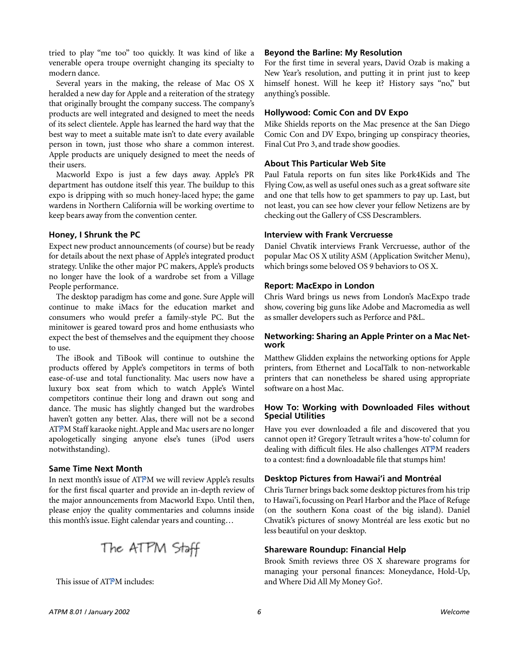tried to play "me too" too quickly. It was kind of like a venerable opera troupe overnight changing its specialty to modern dance.

Several years in the making, the release of Mac OS X heralded a new day for Apple and a reiteration of the strategy that originally brought the company success. The company's products are well integrated and designed to meet the needs of its select clientele. Apple has learned the hard way that the best way to meet a suitable mate isn't to date every available person in town, just those who share a common interest. Apple products are uniquely designed to meet the needs of their users.

Macworld Expo is just a few days away. Apple's PR department has outdone itself this year. The buildup to this expo is dripping with so much honey-laced hype; the game wardens in Northern California will be working overtime to keep bears away from the convention center.

#### **Honey, I Shrunk the PC**

Expect new product announcements (of course) but be ready for details about the next phase of Apple's integrated product strategy. Unlike the other major PC makers, Apple's products no longer have the look of a wardrobe set from a Village People performance.

The desktop paradigm has come and gone. Sure Apple will continue to make iMacs for the education market and consumers who would prefer a family-style PC. But the minitower is geared toward pros and home enthusiasts who expect the best of themselves and the equipment they choose to use.

The iBook and TiBook will continue to outshine the products offered by Apple's competitors in terms of both ease-of-use and total functionality. Mac users now have a luxury box seat from which to watch Apple's Wintel competitors continue their long and drawn out song and dance. The music has slightly changed but the wardrobes haven't gotten any better. Alas, there will not be a second ATPM Staff karaoke night. Apple and Mac users are no longer apologetically singing anyone else's tunes (iPod users notwithstanding).

#### **Same Time Next Month**

In next month's issue of ATPM we will review Apple's results for the first fiscal quarter and provide an in-depth review of the major announcements from Macworld Expo. Until then, please enjoy the quality commentaries and columns inside this month's issue. Eight calendar years and counting…

The ATPM Staff

This issue of ATPM includes:

#### **Beyond the Barline: My Resolution**

For the first time in several years, David Ozab is making a New Year's resolution, and putting it in print just to keep himself honest. Will he keep it? History says "no," but anything's possible.

#### **Hollywood: Comic Con and DV Expo**

Mike Shields reports on the Mac presence at the San Diego Comic Con and DV Expo, bringing up conspiracy theories, Final Cut Pro 3, and trade show goodies.

#### **About This Particular Web Site**

Paul Fatula reports on fun sites like Pork4Kids and The Flying Cow, as well as useful ones such as a great software site and one that tells how to get spammers to pay up. Last, but not least, you can see how clever your fellow Netizens are by checking out the Gallery of CSS Descramblers.

#### **Interview with Frank Vercruesse**

Daniel Chvatik interviews Frank Vercruesse, author of the popular Mac OS X utility ASM (Application Switcher Menu), which brings some beloved OS 9 behaviors to OS X.

#### **Report: MacExpo in London**

Chris Ward brings us news from London's MacExpo trade show, covering big guns like Adobe and Macromedia as well as smaller developers such as Perforce and P&L.

#### **Networking: Sharing an Apple Printer on a Mac Network**

Matthew Glidden explains the networking options for Apple printers, from Ethernet and LocalTalk to non-networkable printers that can nonetheless be shared using appropriate software on a host Mac.

#### **How To: Working with Downloaded Files without Special Utilities**

Have you ever downloaded a file and discovered that you cannot open it? Gregory Tetrault writes a 'how-to' column for dealing with difficult files. He also challenges ATPM readers to a contest: find a downloadable file that stumps him!

#### **Desktop Pictures from Hawai'i and Montréal**

Chris Turner brings back some desktop pictures from his trip to Hawai'i, focussing on Pearl Harbor and the Place of Refuge (on the southern Kona coast of the big island). Daniel Chvatik's pictures of snowy Montréal are less exotic but no less beautiful on your desktop.

#### **Shareware Roundup: Financial Help**

Brook Smith reviews three OS X shareware programs for managing your personal finances: Moneydance, Hold-Up, and Where Did All My Money Go?.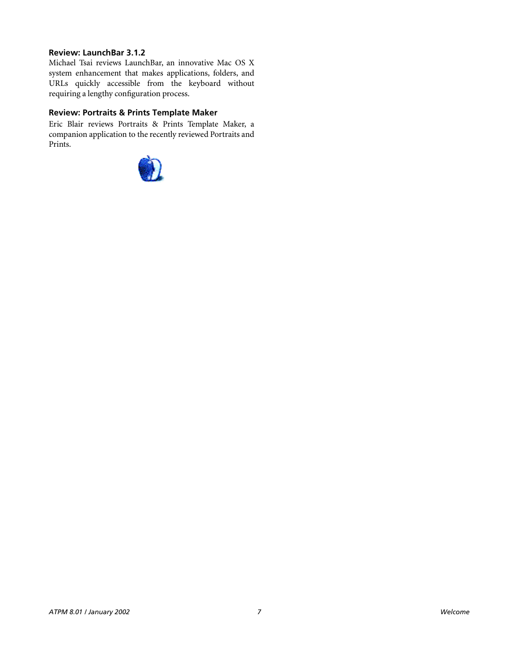#### **Review: LaunchBar 3.1.2**

Michael Tsai reviews LaunchBar, an innovative Mac OS X system enhancement that makes applications, folders, and URLs quickly accessible from the keyboard without requiring a lengthy configuration process.

#### **Review: Portraits & Prints Template Maker**

Eric Blair reviews Portraits & Prints Template Maker, a companion application to the recently reviewed Portraits and Prints.

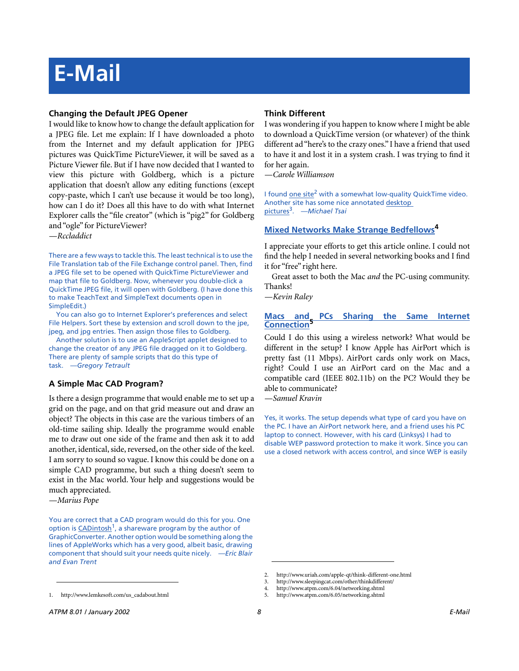# **E-Mail**

#### **Changing the Default JPEG Opener**

I would like to know how to change the default application for a JPEG file. Let me explain: If I have downloaded a photo from the Internet and my default application for JPEG pictures was QuickTime PictureViewer, it will be saved as a Picture Viewer file. But if I have now decided that I wanted to view this picture with Goldberg, which is a picture application that doesn't allow any editing functions (except copy-paste, which I can't use because it would be too long), how can I do it? Does all this have to do with what Internet Explorer calls the "file creator" (which is "pig2" for Goldberg and "ogle" for PictureViewer?

*—Rccladdict*

There are a few ways to tackle this. The least technical is to use the File Translation tab of the File Exchange control panel. Then, find a JPEG file set to be opened with QuickTime PictureViewer and map that file to Goldberg. Now, whenever you double-click a QuickTime JPEG file, it will open with Goldberg. (I have done this to make TeachText and SimpleText documents open in SimpleEdit.)

You can also go to Internet Explorer's preferences and select File Helpers. Sort these by extension and scroll down to the jpe, jpeg, and jpg entries. Then assign those files to Goldberg.

Another solution is to use an AppleScript applet designed to change the creator of any JPEG file dragged on it to Goldberg. There are plenty of sample scripts that do this type of task. *—Gregory Tetrault*

#### **A Simple Mac CAD Program?**

Is there a design programme that would enable me to set up a grid on the page, and on that grid measure out and draw an object? The objects in this case are the various timbers of an old-time sailing ship. Ideally the programme would enable me to draw out one side of the frame and then ask it to add another, identical, side, reversed, on the other side of the keel. I am sorry to sound so vague. I know this could be done on a simple CAD programme, but such a thing doesn't seem to exist in the Mac world. Your help and suggestions would be much appreciated.

*—Marius Pope*

You are correct that a CAD program would do this for you. One option is CAD intosh<sup>1</sup>, a shareware program by the author of GraphicConverter. Another option would be something along the lines of AppleWorks which has a very good, albeit basic, drawing component that should suit your needs quite nicely. *—Eric Blair and Evan Trent*

#### **Think Different**

I was wondering if you happen to know where I might be able to download a QuickTime version (or whatever) of the think different ad "here's to the crazy ones." I have a friend that used to have it and lost it in a system crash. I was trying to find it for her again.

*—Carole Williamson*

I found [one site](http://www.uriah.com/apple-qt/think-different-one.html)<sup>2</sup> with a somewhat low-quality QuickTime video. Another site has some nice annotated [desktop](http://www.sleepingcat.com/other/thinkdifferent/)  [pictures](http://www.sleepingcat.com/other/thinkdifferent/)3. *—Michael Tsai*

#### **[Mixed Networks Make Strange Bedfellows](http://www.atpm.com/6.04/networking.shtml)4**

I appreciate your efforts to get this article online. I could not find the help I needed in several networking books and I find it for "free" right here.

Great asset to both the Mac *and* the PC-using community. Thanks!

*—Kevin Raley*

#### **[Macs and PCs Sharing the Same Internet](http://www.atpm.com/6.05/networking.shtml) [Connection](http://www.atpm.com/6.05/networking.shtml)5**

Could I do this using a wireless network? What would be different in the setup? I know Apple has AirPort which is pretty fast (11 Mbps). AirPort cards only work on Macs, right? Could I use an AirPort card on the Mac and a compatible card (IEEE 802.11b) on the PC? Would they be able to communicate?

*—Samuel Kravin*

Yes, it works. The setup depends what type of card you have on the PC. I have an AirPort network here, and a friend uses his PC laptop to connect. However, with his card (Linksys) I had to disable WEP password protection to make it work. Since you can use a closed network with access control, and since WEP is easily

1. http://www.lemkesoft.com/us\_cadabout.html

<sup>2.</sup> http://www.uriah.com/apple-qt/think-different-one.html

<sup>3.</sup> http://www.sleepingcat.com/other/thinkdifferent/

<sup>4.</sup> http://www.atpm.com/6.04/networking.shtml

<sup>5.</sup> http://www.atpm.com/6.05/networking.shtml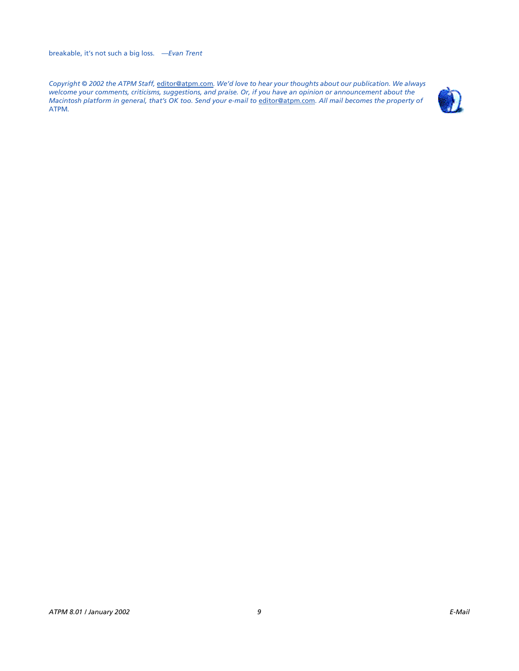*Copyright © 2002 the ATPM Staff,* [editor@atpm.com](mailto:editor@atpm.com)*. We'd love to hear your thoughts about our publication. We always welcome your comments, criticisms, suggestions, and praise. Or, if you have an opinion or announcement about the Macintosh platform in general, that's OK too. Send your e-mail to* [editor@atpm.com](mailto:editor@atpm.com)*. All mail becomes the property of*  ATPM*.*

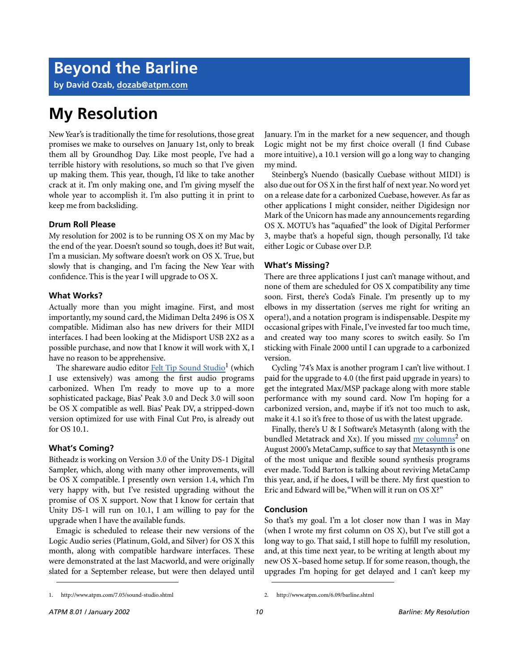**by David Ozab, [dozab@atpm.com](mailto:dozab@atpm.com)**

### **My Resolution**

New Year's is traditionally the time for resolutions, those great promises we make to ourselves on January 1st, only to break them all by Groundhog Day. Like most people, I've had a terrible history with resolutions, so much so that I've given up making them. This year, though, I'd like to take another crack at it. I'm only making one, and I'm giving myself the whole year to accomplish it. I'm also putting it in print to keep me from backsliding.

#### **Drum Roll Please**

My resolution for 2002 is to be running OS X on my Mac by the end of the year. Doesn't sound so tough, does it? But wait, I'm a musician. My software doesn't work on OS X. True, but slowly that is changing, and I'm facing the New Year with confidence. This is the year I will upgrade to OS X.

#### **What Works?**

Actually more than you might imagine. First, and most importantly, my sound card, the Midiman Delta 2496 is OS X compatible. Midiman also has new drivers for their MIDI interfaces. I had been looking at the Midisport USB 2X2 as a possible purchase, and now that I know it will work with X, I have no reason to be apprehensive.

The shareware audio editor Felt Tip Sound Studio<sup>1</sup> (which I use extensively) was among the first audio programs carbonized. When I'm ready to move up to a more sophisticated package, Bias' Peak 3.0 and Deck 3.0 will soon be OS X compatible as well. Bias' Peak DV, a stripped-down version optimized for use with Final Cut Pro, is already out for OS 10.1.

#### **What's Coming?**

Bitheadz is working on Version 3.0 of the Unity DS-1 Digital Sampler, which, along with many other improvements, will be OS X compatible. I presently own version 1.4, which I'm very happy with, but I've resisted upgrading without the promise of OS X support. Now that I know for certain that Unity DS-1 will run on 10.1, I am willing to pay for the upgrade when I have the available funds.

Emagic is scheduled to release their new versions of the Logic Audio series (Platinum, Gold, and Silver) for OS X this month, along with compatible hardware interfaces. These were demonstrated at the last Macworld, and were originally slated for a September release, but were then delayed until January. I'm in the market for a new sequencer, and though Logic might not be my first choice overall (I find Cubase more intuitive), a 10.1 version will go a long way to changing my mind.

Steinberg's Nuendo (basically Cuebase without MIDI) is also due out for OS X in the first half of next year. No word yet on a release date for a carbonized Cuebase, however. As far as other applications I might consider, neither Digidesign nor Mark of the Unicorn has made any announcements regarding OS X. MOTU's has "aquafied" the look of Digital Performer 3, maybe that's a hopeful sign, though personally, I'd take either Logic or Cubase over D.P.

#### **What's Missing?**

There are three applications I just can't manage without, and none of them are scheduled for OS X compatibility any time soon. First, there's Coda's Finale. I'm presently up to my elbows in my dissertation (serves me right for writing an opera!), and a notation program is indispensable. Despite my occasional gripes with Finale, I've invested far too much time, and created way too many scores to switch easily. So I'm sticking with Finale 2000 until I can upgrade to a carbonized version.

Cycling '74's Max is another program I can't live without. I paid for the upgrade to 4.0 (the first paid upgrade in years) to get the integrated Max/MSP package along with more stable performance with my sound card. Now I'm hoping for a carbonized version, and, maybe if it's not too much to ask, make it 4.1 so it's free to those of us with the latest upgrade.

Finally, there's U & I Software's Metasynth (along with the bundled Metatrack and Xx). If you missed [my columns](http://www.atpm.com/6.09/barline.shtml)<sup>2</sup> on August 2000's MetaCamp, suffice to say that Metasynth is one of the most unique and flexible sound synthesis programs ever made. Todd Barton is talking about reviving MetaCamp this year, and, if he does, I will be there. My first question to Eric and Edward will be, "When will it run on OS X?"

#### **Conclusion**

So that's my goal. I'm a lot closer now than I was in May (when I wrote my first column on OS X), but I've still got a long way to go. That said, I still hope to fulfill my resolution, and, at this time next year, to be writing at length about my new OS X–based home setup. If for some reason, though, the upgrades I'm hoping for get delayed and I can't keep my

<sup>1.</sup> http://www.atpm.com/7.05/sound-studio.shtml 2. http://www.atpm.com/6.09/barline.shtml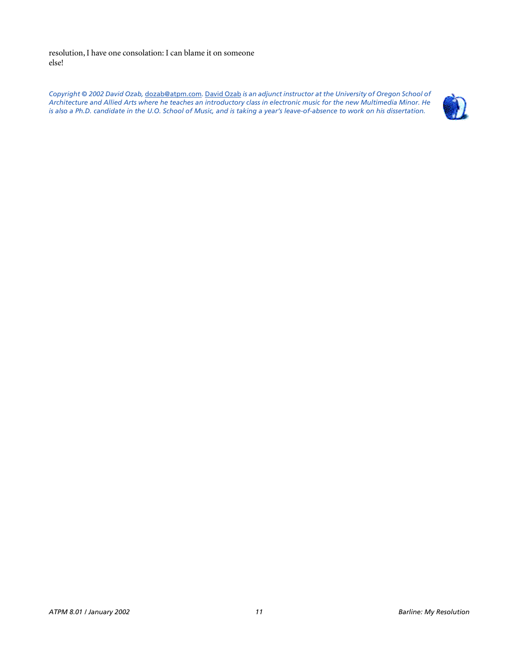resolution, I have one consolation: I can blame it on someone else!

*Copyright © 2002 David Ozab,* [dozab@atpm.com](mailto:dozab@atpm.com)*.* [David Ozab](http://darkwing.uoregon.edu/%7Edlo) *is an adjunct instructor at the University of Oregon School of Architecture and Allied Arts where he teaches an introductory class in electronic music for the new Multimedia Minor. He is also a Ph.D. candidate in the U.O. School of Music, and is taking a year's leave-of-absence to work on his dissertation.*

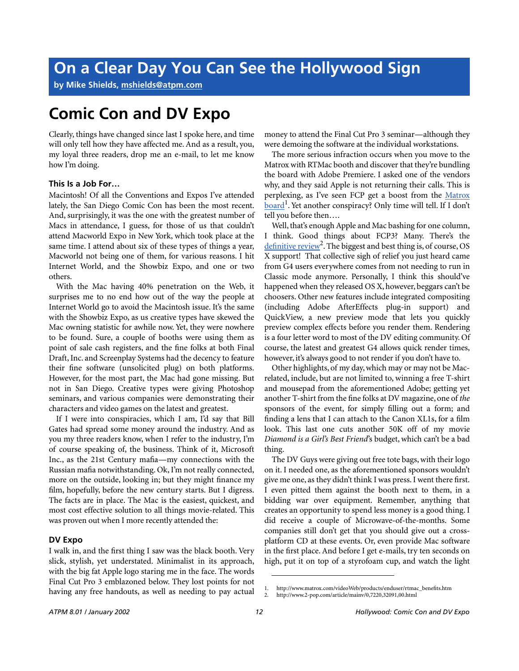**by Mike Shields, [mshields@atpm.com](mailto:mshields@atpm.com)**

### **Comic Con and DV Expo**

Clearly, things have changed since last I spoke here, and time will only tell how they have affected me. And as a result, you, my loyal three readers, drop me an e-mail, to let me know how I'm doing.

#### **This Is a Job For…**

Macintosh! Of all the Conventions and Expos I've attended lately, the San Diego Comic Con has been the most recent. And, surprisingly, it was the one with the greatest number of Macs in attendance, I guess, for those of us that couldn't attend Macworld Expo in New York, which took place at the same time. I attend about six of these types of things a year, Macworld not being one of them, for various reasons. I hit Internet World, and the Showbiz Expo, and one or two others.

With the Mac having 40% penetration on the Web, it surprises me to no end how out of the way the people at Internet World go to avoid the Macintosh issue. It's the same with the Showbiz Expo, as us creative types have skewed the Mac owning statistic for awhile now. Yet, they were nowhere to be found. Sure, a couple of booths were using them as point of sale cash registers, and the fine folks at both Final Draft, Inc. and Screenplay Systems had the decency to feature their fine software (unsolicited plug) on both platforms. However, for the most part, the Mac had gone missing. But not in San Diego. Creative types were giving Photoshop seminars, and various companies were demonstrating their characters and video games on the latest and greatest.

If I were into conspiracies, which I am, I'd say that Bill Gates had spread some money around the industry. And as you my three readers know, when I refer to the industry, I'm of course speaking of, the business. Think of it, Microsoft Inc., as the 21st Century mafia—my connections with the Russian mafia notwithstanding. Ok, I'm not really connected, more on the outside, looking in; but they might finance my film, hopefully, before the new century starts. But I digress. The facts are in place. The Mac is the easiest, quickest, and most cost effective solution to all things movie-related. This was proven out when I more recently attended the:

#### **DV Expo**

I walk in, and the first thing I saw was the black booth. Very slick, stylish, yet understated. Minimalist in its approach, with the big fat Apple logo staring me in the face. The words Final Cut Pro 3 emblazoned below. They lost points for not having any free handouts, as well as needing to pay actual

money to attend the Final Cut Pro 3 seminar—although they were demoing the software at the individual workstations.

The more serious infraction occurs when you move to the Matrox with RTMac booth and discover that they're bundling the board with Adobe Premiere. I asked one of the vendors why, and they said Apple is not returning their calls. This is perplexing, as I've seen FCP get a boost from the [Matrox](http://www.matrox.com/videoWeb/products/enduser/rtmac_benefits.htm) board<sup>1</sup>. Yet another conspiracy? Only time will tell. If I don't tell you before then….

Well, that's enough Apple and Mac bashing for one column, I think. Good things about FCP3? Many. There's the definitive review<sup>2</sup>. The biggest and best thing is, of course, OS X support! That collective sigh of relief you just heard came from G4 users everywhere comes from not needing to run in Classic mode anymore. Personally, I think this should've happened when they released OS X, however, beggars can't be choosers. Other new features include integrated compositing (including Adobe AfterEffects plug-in support) and QuickView, a new preview mode that lets you quickly preview complex effects before you render them. Rendering is a four letter word to most of the DV editing community. Of course, the latest and greatest G4 allows quick render times, however, it's always good to not render if you don't have to.

Other highlights, of my day, which may or may not be Macrelated, include, but are not limited to, winning a free T-shirt and mousepad from the aforementioned Adobe; getting yet another T-shirt from the fine folks at DV magazine, one of *the* sponsors of the event, for simply filling out a form; and finding a lens that I can attach to the Canon XL1s, for a film look. This last one cuts another 50K off of my movie *Diamond is a Girl's Best Friend*'s budget, which can't be a bad thing.

The DV Guys were giving out free tote bags, with their logo on it. I needed one, as the aforementioned sponsors wouldn't give me one, as they didn't think I was press. I went there first. I even pitted them against the booth next to them, in a bidding war over equipment. Remember, anything that creates an opportunity to spend less money is a good thing. I did receive a couple of Microwave-of-the-months. Some companies still don't get that you should give out a crossplatform CD at these events. Or, even provide Mac software in the first place. And before I get e-mails, try ten seconds on high, put it on top of a styrofoam cup, and watch the light

<sup>1.</sup> http://www.matrox.com/videoWeb/products/enduser/rtmac\_benefits.htm<br>2. http://www.2-pop.com/article/mainy/0,7220,32091,00.html

<sup>2.</sup> http://www.2-pop.com/article/mainv/0,7220,32091,00.html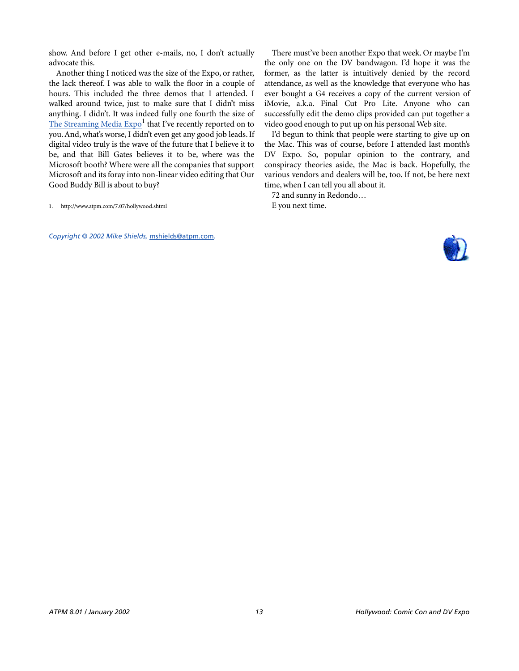show. And before I get other e-mails, no, I don't actually advocate this.

Another thing I noticed was the size of the Expo, or rather, the lack thereof. I was able to walk the floor in a couple of hours. This included the three demos that I attended. I walked around twice, just to make sure that I didn't miss anything. I didn't. It was indeed fully one fourth the size of The Streaming Media  $\text{Expo}^1$  that I've recently reported on to you. And, what's worse, I didn't even get any good job leads. If digital video truly is the wave of the future that I believe it to be, and that Bill Gates believes it to be, where was the Microsoft booth? Where were all the companies that support Microsoft and its foray into non-linear video editing that Our Good Buddy Bill is about to buy?

*Copyright © 2002 Mike Shields,* [mshields@atpm.com](mailto:mshields@atpm.com)*.*

There must've been another Expo that week. Or maybe I'm the only one on the DV bandwagon. I'd hope it was the former, as the latter is intuitively denied by the record attendance, as well as the knowledge that everyone who has ever bought a G4 receives a copy of the current version of iMovie, a.k.a. Final Cut Pro Lite. Anyone who can successfully edit the demo clips provided can put together a video good enough to put up on his personal Web site.

I'd begun to think that people were starting to give up on the Mac. This was of course, before I attended last month's DV Expo. So, popular opinion to the contrary, and conspiracy theories aside, the Mac is back. Hopefully, the various vendors and dealers will be, too. If not, be here next time, when I can tell you all about it.

72 and sunny in Redondo… E you next time.



<sup>1.</sup> http://www.atpm.com/7.07/hollywood.shtml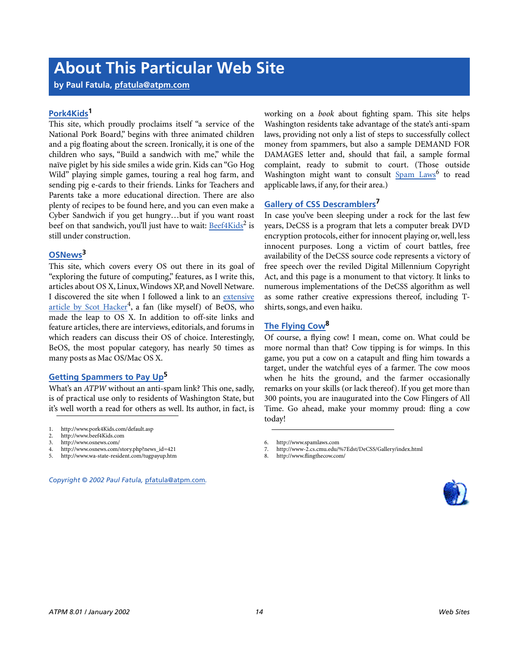## **About This Particular Web Site**

**by Paul Fatula, [pfatula@atpm.com](mailto:pfatula@atpm.com)**

#### **[Pork4Kids](http://www.pork4Kids.com/default.asp)1**

This site, which proudly proclaims itself "a service of the National Pork Board," begins with three animated children and a pig floating about the screen. Ironically, it is one of the children who says, "Build a sandwich with me," while the naïve piglet by his side smiles a wide grin. Kids can "Go Hog Wild" playing simple games, touring a real hog farm, and sending pig e-cards to their friends. Links for Teachers and Parents take a more educational direction. There are also plenty of recipes to be found here, and you can even make a Cyber Sandwich if you get hungry…but if you want roast beef on that sandwich, you'll just have to wait: [Beef4Kids](http://www.beef4Kids.com)<sup>2</sup> is still under construction.

#### **[OSNews](http://www.osnews.com/)3**

This site, which covers every OS out there in its goal of "exploring the future of computing," features, as I write this, articles about OS X, Linux, Windows XP, and Novell Netware. I discovered the site when I followed a link to an [extensive](http://www.osnews.com/story.php?news_id=421) [article by Scot Hacker](http://www.osnews.com/story.php?news_id=421)<sup>4</sup>, a fan (like myself) of BeOS, who made the leap to OS X. In addition to off-site links and feature articles, there are interviews, editorials, and forums in which readers can discuss their OS of choice. Interestingly, BeOS, the most popular category, has nearly 50 times as many posts as Mac OS/Mac OS X.

#### **[Getting Spammers to Pay Up](http://www.wa-state-resident.com/tugpayup.htm)5**

What's an *ATPW* without an anti-spam link? This one, sadly, is of practical use only to residents of Washington State, but it's well worth a read for others as well. Its author, in fact, is

- 3. http://www.osnews.com/
- 4. http://www.osnews.com/story.php?news\_id=421
- 5. http://www.wa-state-resident.com/tugpayup.htm

```
Copyright © 2002 Paul Fatula, pfatula@atpm.com.
```
working on a *book* about fighting spam. This site helps Washington residents take advantage of the state's anti-spam laws, providing not only a list of steps to successfully collect money from spammers, but also a sample DEMAND FOR DAMAGES letter and, should that fail, a sample formal complaint, ready to submit to court. (Those outside Washington might want to consult **[Spam Laws](http://www.spamlaws.com)**<sup>6</sup> to read applicable laws, if any, for their area.)

#### **[Gallery of CSS Descramblers7](http://www-2.cs.cmu.edu/%7Edst/DeCSS/Gallery/index.html)**

In case you've been sleeping under a rock for the last few years, DeCSS is a program that lets a computer break DVD encryption protocols, either for innocent playing or, well, less innocent purposes. Long a victim of court battles, free availability of the DeCSS source code represents a victory of free speech over the reviled Digital Millennium Copyright Act, and this page is a monument to that victory. It links to numerous implementations of the DeCSS algorithm as well as some rather creative expressions thereof, including Tshirts, songs, and even haiku.

#### **[The Flying Cow](http://www.flingthecow.com/)8**

Of course, a flying cow! I mean, come on. What could be more normal than that? Cow tipping is for wimps. In this game, you put a cow on a catapult and fling him towards a target, under the watchful eyes of a farmer. The cow moos when he hits the ground, and the farmer occasionally remarks on your skills (or lack thereof). If you get more than 300 points, you are inaugurated into the Cow Flingers of All Time. Go ahead, make your mommy proud: fling a cow today!

- 7. http://www-2.cs.cmu.edu/%7Edst/DeCSS/Gallery/index.html
- 8. http://www.flingthecow.com/

<sup>1.</sup> http://www.pork4Kids.com/default.asp

<sup>2.</sup> http://www.beef4Kids.com<br>3 http://www.osnews.com/

<sup>6.</sup> http://www.spamlaws.com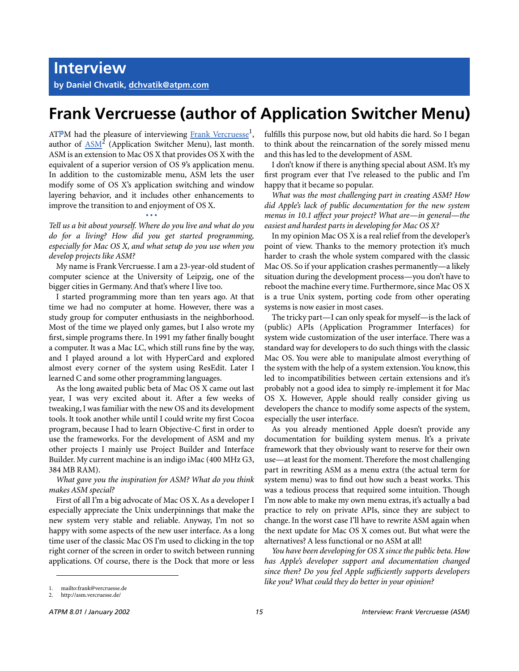## **Frank Vercruesse (author of Application Switcher Menu)**

ATPM had the pleasure of interviewing Frank Vercruesse<sup>1</sup>, author of  $\frac{ASM^2}{A}$  $\frac{ASM^2}{A}$  $\frac{ASM^2}{A}$  (Application Switcher Menu), last month. ASM is an extension to Mac OS X that provides OS X with the equivalent of a superior version of OS 9's application menu. In addition to the customizable menu, ASM lets the user modify some of OS X's application switching and window layering behavior, and it includes other enhancements to improve the transition to and enjoyment of OS X.

**• • •** *Tell us a bit about yourself. Where do you live and what do you do for a living? How did you get started programming, especially for Mac OS X, and what setup do you use when you develop projects like ASM?*

My name is Frank Vercruesse. I am a 23-year-old student of computer science at the University of Leipzig, one of the bigger cities in Germany. And that's where I live too.

I started programming more than ten years ago. At that time we had no computer at home. However, there was a study group for computer enthusiasts in the neighborhood. Most of the time we played only games, but I also wrote my first, simple programs there. In 1991 my father finally bought a computer. It was a Mac LC, which still runs fine by the way, and I played around a lot with HyperCard and explored almost every corner of the system using ResEdit. Later I learned C and some other programming languages.

As the long awaited public beta of Mac OS X came out last year, I was very excited about it. After a few weeks of tweaking, I was familiar with the new OS and its development tools. It took another while until I could write my first Cocoa program, because I had to learn Objective-C first in order to use the frameworks. For the development of ASM and my other projects I mainly use Project Builder and Interface Builder. My current machine is an indigo iMac (400 MHz G3, 384 MB RAM).

#### *What gave you the inspiration for ASM? What do you think makes ASM special?*

First of all I'm a big advocate of Mac OS X. As a developer I especially appreciate the Unix underpinnings that make the new system very stable and reliable. Anyway, I'm not so happy with some aspects of the new user interface. As a long time user of the classic Mac OS I'm used to clicking in the top right corner of the screen in order to switch between running applications. Of course, there is the Dock that more or less fulfills this purpose now, but old habits die hard. So I began to think about the reincarnation of the sorely missed menu and this has led to the development of ASM.

I don't know if there is anything special about ASM. It's my first program ever that I've released to the public and I'm happy that it became so popular.

*What was the most challenging part in creating ASM? How did Apple's lack of public documentation for the new system menus in 10.1 affect your project? What are—in general—the easiest and hardest parts in developing for Mac OS X?*

In my opinion Mac OS X is a real relief from the developer's point of view. Thanks to the memory protection it's much harder to crash the whole system compared with the classic Mac OS. So if your application crashes permanently—a likely situation during the development process—you don't have to reboot the machine every time. Furthermore, since Mac OS X is a true Unix system, porting code from other operating systems is now easier in most cases.

The tricky part—I can only speak for myself—is the lack of (public) APIs (Application Programmer Interfaces) for system wide customization of the user interface. There was a standard way for developers to do such things with the classic Mac OS. You were able to manipulate almost everything of the system with the help of a system extension. You know, this led to incompatibilities between certain extensions and it's probably not a good idea to simply re-implement it for Mac OS X. However, Apple should really consider giving us developers the chance to modify some aspects of the system, especially the user interface.

As you already mentioned Apple doesn't provide any documentation for building system menus. It's a private framework that they obviously want to reserve for their own use—at least for the moment. Therefore the most challenging part in rewriting ASM as a menu extra (the actual term for system menu) was to find out how such a beast works. This was a tedious process that required some intuition. Though I'm now able to make my own menu extras, it's actually a bad practice to rely on private APIs, since they are subject to change. In the worst case I'll have to rewrite ASM again when the next update for Mac OS X comes out. But what were the alternatives? A less functional or no ASM at all!

*You have been developing for OS X since the public beta. How has Apple's developer support and documentation changed since then? Do you feel Apple sufficiently supports developers like you? What could they do better in your opinion?*

<sup>1.</sup> mailto:frank@vercruesse.de

<sup>2.</sup> http://asm.vercruesse.de/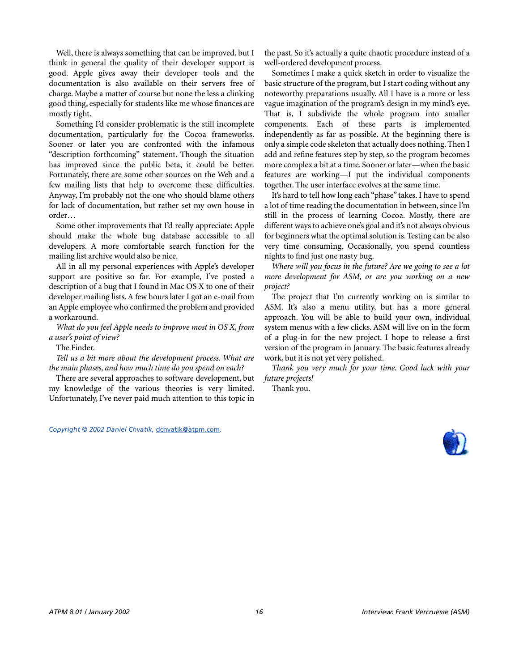Well, there is always something that can be improved, but I think in general the quality of their developer support is good. Apple gives away their developer tools and the documentation is also available on their servers free of charge. Maybe a matter of course but none the less a clinking good thing, especially for students like me whose finances are mostly tight.

Something I'd consider problematic is the still incomplete documentation, particularly for the Cocoa frameworks. Sooner or later you are confronted with the infamous "description forthcoming" statement. Though the situation has improved since the public beta, it could be better. Fortunately, there are some other sources on the Web and a few mailing lists that help to overcome these difficulties. Anyway, I'm probably not the one who should blame others for lack of documentation, but rather set my own house in order…

Some other improvements that I'd really appreciate: Apple should make the whole bug database accessible to all developers. A more comfortable search function for the mailing list archive would also be nice.

All in all my personal experiences with Apple's developer support are positive so far. For example, I've posted a description of a bug that I found in Mac OS X to one of their developer mailing lists. A few hours later I got an e-mail from an Apple employee who confirmed the problem and provided a workaround.

*What do you feel Apple needs to improve most in OS X, from a user's point of view?*

The Finder.

*Tell us a bit more about the development process. What are the main phases, and how much time do you spend on each?*

There are several approaches to software development, but my knowledge of the various theories is very limited. Unfortunately, I've never paid much attention to this topic in

*Copyright © 2002 Daniel Chvatik,* [dchvatik@atpm.com](mailto:dchvatik@atpm.com)*.*

the past. So it's actually a quite chaotic procedure instead of a well-ordered development process.

Sometimes I make a quick sketch in order to visualize the basic structure of the program, but I start coding without any noteworthy preparations usually. All I have is a more or less vague imagination of the program's design in my mind's eye. That is, I subdivide the whole program into smaller components. Each of these parts is implemented independently as far as possible. At the beginning there is only a simple code skeleton that actually does nothing. Then I add and refine features step by step, so the program becomes more complex a bit at a time. Sooner or later—when the basic features are working—I put the individual components together. The user interface evolves at the same time.

It's hard to tell how long each "phase" takes. I have to spend a lot of time reading the documentation in between, since I'm still in the process of learning Cocoa. Mostly, there are different ways to achieve one's goal and it's not always obvious for beginners what the optimal solution is. Testing can be also very time consuming. Occasionally, you spend countless nights to find just one nasty bug.

*Where will you focus in the future? Are we going to see a lot more development for ASM, or are you working on a new project?*

The project that I'm currently working on is similar to ASM. It's also a menu utility, but has a more general approach. You will be able to build your own, individual system menus with a few clicks. ASM will live on in the form of a plug-in for the new project. I hope to release a first version of the program in January. The basic features already work, but it is not yet very polished.

*Thank you very much for your time. Good luck with your future projects!*

Thank you.

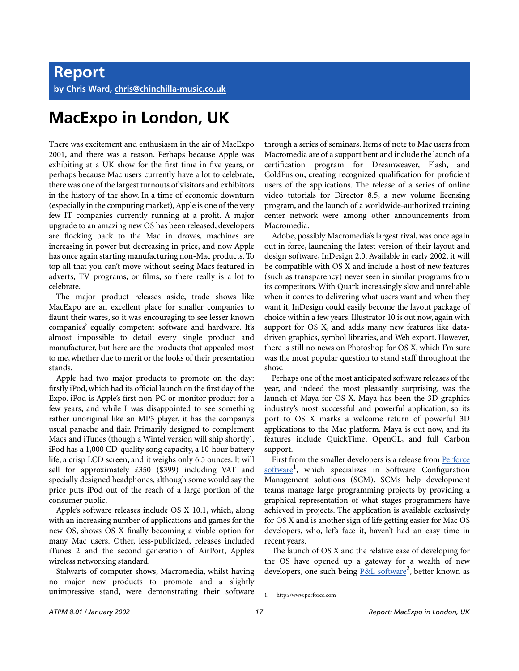### **MacExpo in London, UK**

There was excitement and enthusiasm in the air of MacExpo 2001, and there was a reason. Perhaps because Apple was exhibiting at a UK show for the first time in five years, or perhaps because Mac users currently have a lot to celebrate, there was one of the largest turnouts of visitors and exhibitors in the history of the show. In a time of economic downturn (especially in the computing market), Apple is one of the very few IT companies currently running at a profit. A major upgrade to an amazing new OS has been released, developers are flocking back to the Mac in droves, machines are increasing in power but decreasing in price, and now Apple has once again starting manufacturing non-Mac products. To top all that you can't move without seeing Macs featured in adverts, TV programs, or films, so there really is a lot to celebrate.

The major product releases aside, trade shows like MacExpo are an excellent place for smaller companies to flaunt their wares, so it was encouraging to see lesser known companies' equally competent software and hardware. It's almost impossible to detail every single product and manufacturer, but here are the products that appealed most to me, whether due to merit or the looks of their presentation stands.

Apple had two major products to promote on the day: firstly iPod, which had its official launch on the first day of the Expo. iPod is Apple's first non-PC or monitor product for a few years, and while I was disappointed to see something rather unoriginal like an MP3 player, it has the company's usual panache and flair. Primarily designed to complement Macs and iTunes (though a Wintel version will ship shortly), iPod has a 1,000 CD-quality song capacity, a 10-hour battery life, a crisp LCD screen, and it weighs only 6.5 ounces. It will sell for approximately £350 (\$399) including VAT and specially designed headphones, although some would say the price puts iPod out of the reach of a large portion of the consumer public.

Apple's software releases include OS X 10.1, which, along with an increasing number of applications and games for the new OS, shows OS X finally becoming a viable option for many Mac users. Other, less-publicized, releases included iTunes 2 and the second generation of AirPort, Apple's wireless networking standard.

Stalwarts of computer shows, Macromedia, whilst having no major new products to promote and a slightly unimpressive stand, were demonstrating their software

through a series of seminars. Items of note to Mac users from Macromedia are of a support bent and include the launch of a certification program for Dreamweaver, Flash, and ColdFusion, creating recognized qualification for proficient users of the applications. The release of a series of online video tutorials for Director 8.5, a new volume licensing program, and the launch of a worldwide-authorized training center network were among other announcements from Macromedia.

Adobe, possibly Macromedia's largest rival, was once again out in force, launching the latest version of their layout and design software, InDesign 2.0. Available in early 2002, it will be compatible with OS X and include a host of new features (such as transparency) never seen in similar programs from its competitors. With Quark increasingly slow and unreliable when it comes to delivering what users want and when they want it, InDesign could easily become the layout package of choice within a few years. Illustrator 10 is out now, again with support for OS X, and adds many new features like datadriven graphics, symbol libraries, and Web export. However, there is still no news on Photoshop for OS X, which I'm sure was the most popular question to stand staff throughout the show.

Perhaps one of the most anticipated software releases of the year, and indeed the most pleasantly surprising, was the launch of Maya for OS X. Maya has been the 3D graphics industry's most successful and powerful application, so its port to OS X marks a welcome return of powerful 3D applications to the Mac platform. Maya is out now, and its features include QuickTime, OpenGL, and full Carbon support.

First from the smaller developers is a release from [Perforce](http://www.perforce.com) software<sup>1</sup>, which specializes in Software Configuration Management solutions (SCM). SCMs help development teams manage large programming projects by providing a graphical representation of what stages programmers have achieved in projects. The application is available exclusively for OS X and is another sign of life getting easier for Mac OS developers, who, let's face it, haven't had an easy time in recent years.

The launch of OS X and the relative ease of developing for the OS have opened up a gateway for a wealth of new developers, one such being P&L software<sup>2</sup>, better known as

<sup>1.</sup> http://www.perforce.com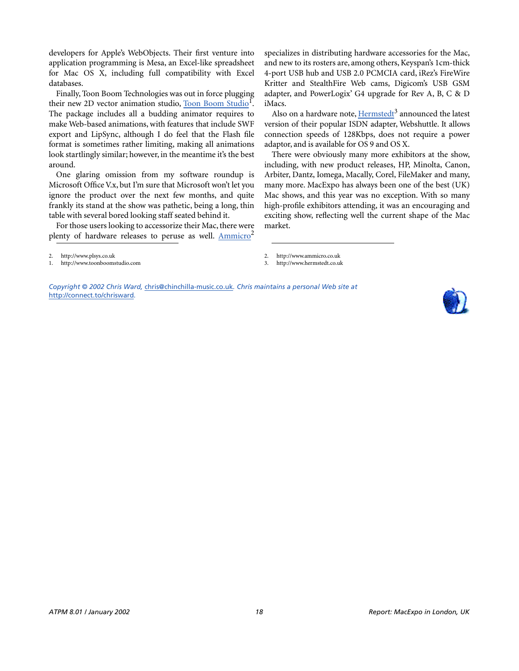developers for Apple's WebObjects. Their first venture into application programming is Mesa, an Excel-like spreadsheet for Mac OS X, including full compatibility with Excel databases.

Finally, Toon Boom Technologies was out in force plugging their new 2D vector animation studio, Toon Boom Studio<sup>1</sup>. The package includes all a budding animator requires to make Web-based animations, with features that include SWF export and LipSync, although I do feel that the Flash file format is sometimes rather limiting, making all animations look startlingly similar; however, in the meantime it's the best around.

One glaring omission from my software roundup is Microsoft Office V.x, but I'm sure that Microsoft won't let you ignore the product over the next few months, and quite frankly its stand at the show was pathetic, being a long, thin table with several bored looking staff seated behind it.

For those users looking to accessorize their Mac, there were plenty of hardware releases to peruse as well.  $Ammicro<sup>2</sup>$  $Ammicro<sup>2</sup>$ 

Also on a hardware note, <u>[Hermstedt](http://www.hermstedt.co.uk)</u><sup>3</sup> announced the latest version of their popular ISDN adapter, Webshuttle. It allows connection speeds of 128Kbps, does not require a power adaptor, and is available for OS 9 and OS X.

There were obviously many more exhibitors at the show, including, with new product releases, HP, Minolta, Canon, Arbiter, Dantz, Iomega, Macally, Corel, FileMaker and many, many more. MacExpo has always been one of the best (UK) Mac shows, and this year was no exception. With so many high-profile exhibitors attending, it was an encouraging and exciting show, reflecting well the current shape of the Mac market.

3. http://www.hermstedt.co.uk

2. http://www.plsys.co.uk 1. http://www.toonboomstudio.com

*Copyright © 2002 Chris Ward,* [chris@chinchilla-music.co.uk](mailto:chris@chinchilla-music.co.uk)*. Chris maintains a personal Web site at*  <http://connect.to/chrisward>*.*



specializes in distributing hardware accessories for the Mac, and new to its rosters are, among others, Keyspan's 1cm-thick 4-port USB hub and USB 2.0 PCMCIA card, iRez's FireWire Kritter and StealthFire Web cams, Digicom's USB GSM adapter, and PowerLogix' G4 upgrade for Rev A, B, C & D iMacs.

<sup>2.</sup> http://www.ammicro.co.uk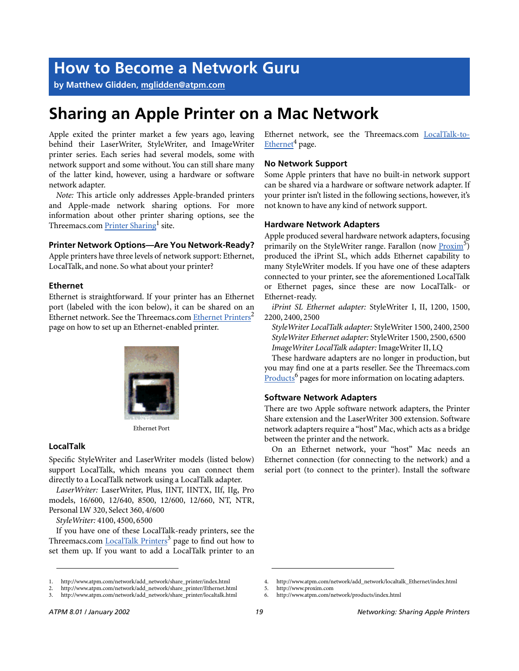### **How to Become a Network Guru**

**by Matthew Glidden, [mglidden@atpm.com](mailto:mglidden@atpm.com)**

### **Sharing an Apple Printer on a Mac Network**

Apple exited the printer market a few years ago, leaving behind their LaserWriter, StyleWriter, and ImageWriter printer series. Each series had several models, some with network support and some without. You can still share many of the latter kind, however, using a hardware or software network adapter.

*Note:* This article only addresses Apple-branded printers and Apple-made network sharing options. For more information about other printer sharing options, see the Threemacs.com [Printer Sharing](http://www.atpm.com/network/add_network/share_printer/index.html)<sup>1</sup> site.

#### **Printer Network Options—Are You Network-Ready?**

Apple printers have three levels of network support: Ethernet, LocalTalk, and none. So what about your printer?

#### **Ethernet**

Ethernet is straightforward. If your printer has an Ethernet port (labeled with the icon below), it can be shared on an Ethernet network. See the Threemacs.com [Ethernet Printers](http://www.atpm.com/network/add_network/share_printer/Ethernet.html)<sup>2</sup> page on how to set up an Ethernet-enabled printer.



Ethernet Port

#### **LocalTalk**

Specific StyleWriter and LaserWriter models (listed below) support LocalTalk, which means you can connect them directly to a LocalTalk network using a LocalTalk adapter.

*LaserWriter:* LaserWriter, Plus, IINT, IINTX, IIf, IIg, Pro models, 16/600, 12/640, 8500, 12/600, 12/660, NT, NTR, Personal LW 320, Select 360, 4/600

*StyleWriter:* 4100, 4500, 6500

If you have one of these LocalTalk-ready printers, see the Threemacs.com [LocalTalk Printers](http://www.atpm.com/network/add_network/share_printer/localtalk.html)<sup>3</sup> page to find out how to set them up. If you want to add a LocalTalk printer to an

1. http://www.atpm.com/network/add\_network/share\_printer/index.html

Ethernet network, see the Threemacs.com [LocalTalk-to-](http://www.atpm.com/network/add_network/localtalk_Ethernet/index.html)[Ethernet](http://www.atpm.com/network/add_network/localtalk_Ethernet/index.html)<sup>4</sup> page.

#### **No Network Support**

Some Apple printers that have no built-in network support can be shared via a hardware or software network adapter. If your printer isn't listed in the following sections, however, it's not known to have any kind of network support.

#### **Hardware Network Adapters**

Apple produced several hardware network adapters, focusing primarily on the StyleWriter range. Farallon (now Proxim<sup>5</sup>) produced the iPrint SL, which adds Ethernet capability to many StyleWriter models. If you have one of these adapters connected to your printer, see the aforementioned LocalTalk or Ethernet pages, since these are now LocalTalk- or Ethernet-ready.

*iPrint SL Ethernet adapter:* StyleWriter I, II, 1200, 1500, 2200, 2400, 2500

*StyleWriter LocalTalk adapter:* StyleWriter 1500, 2400, 2500 *StyleWriter Ethernet adapter:* StyleWriter 1500, 2500, 6500 *ImageWriter LocalTalk adapter:* ImageWriter II, LQ

These hardware adapters are no longer in production, but you may find one at a parts reseller. See the Threemacs.com Products<sup>6</sup> pages for more information on locating adapters.

#### **Software Network Adapters**

There are two Apple software network adapters, the Printer Share extension and the LaserWriter 300 extension. Software network adapters require a "host" Mac, which acts as a bridge between the printer and the network.

On an Ethernet network, your "host" Mac needs an Ethernet connection (for connecting to the network) and a serial port (to connect to the printer). Install the software

<sup>2.</sup> http://www.atpm.com/network/add\_network/share\_printer/Ethernet.html

<sup>3.</sup> http://www.atpm.com/network/add\_network/share\_printer/localtalk.html

<sup>4.</sup> http://www.atpm.com/network/add\_network/localtalk\_Ethernet/index.html

<sup>5.</sup> http://www.proxim.com

<sup>6.</sup> http://www.atpm.com/network/products/index.html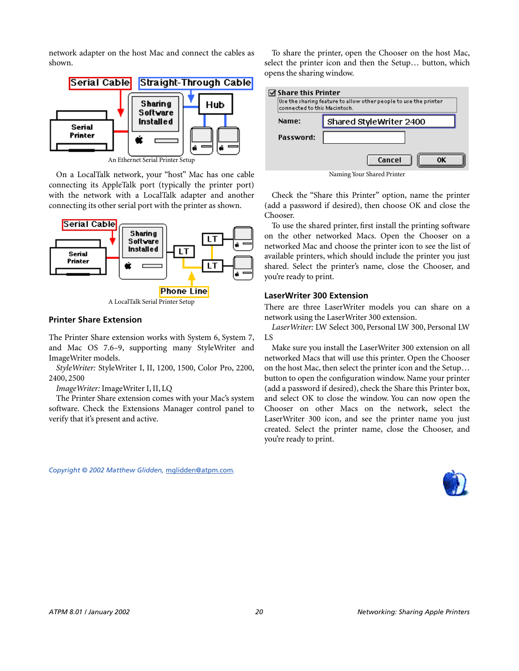network adapter on the host Mac and connect the cables as shown.



An Ethernet Serial Printer Setup

On a LocalTalk network, your "host" Mac has one cable connecting its AppleTalk port (typically the printer port) with the network with a LocalTalk adapter and another connecting its other serial port with the printer as shown.



#### **Printer Share Extension**

The Printer Share extension works with System 6, System 7, and Mac OS 7.6–9, supporting many StyleWriter and ImageWriter models.

*StyleWriter:* StyleWriter I, II, 1200, 1500, Color Pro, 2200, 2400, 2500

#### *ImageWriter:* ImageWriter I, II, LQ

The Printer Share extension comes with your Mac's system software. Check the Extensions Manager control panel to verify that it's present and active.

To share the printer, open the Chooser on the host Mac, select the printer icon and then the Setup… button, which opens the sharing window.



Check the "Share this Printer" option, name the printer (add a password if desired), then choose OK and close the Chooser.

To use the shared printer, first install the printing software on the other networked Macs. Open the Chooser on a networked Mac and choose the printer icon to see the list of available printers, which should include the printer you just shared. Select the printer's name, close the Chooser, and you're ready to print.

#### **LaserWriter 300 Extension**

There are three LaserWriter models you can share on a network using the LaserWriter 300 extension.

*LaserWriter:* LW Select 300, Personal LW 300, Personal LW LS

Make sure you install the LaserWriter 300 extension on all networked Macs that will use this printer. Open the Chooser on the host Mac, then select the printer icon and the Setup… button to open the configuration window. Name your printer (add a password if desired), check the Share this Printer box, and select OK to close the window. You can now open the Chooser on other Macs on the network, select the LaserWriter 300 icon, and see the printer name you just created. Select the printer name, close the Chooser, and you're ready to print.

*Copyright © 2002 Matthew Glidden,* [mglidden@atpm.com](mailto:mglidden@atpm.com)*.*

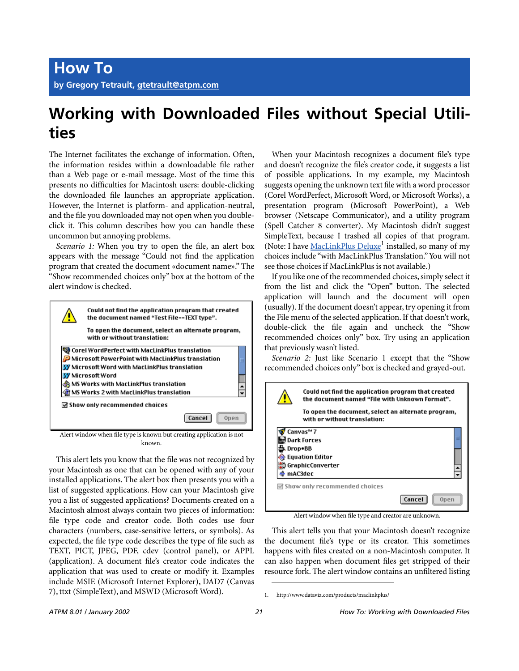### **Working with Downloaded Files without Special Utilities**

The Internet facilitates the exchange of information. Often, the information resides within a downloadable file rather than a Web page or e-mail message. Most of the time this presents no difficulties for Macintosh users: double-clicking the downloaded file launches an appropriate application. However, the Internet is platform- and application-neutral, and the file you downloaded may not open when you doubleclick it. This column describes how you can handle these uncommon but annoying problems.

*Scenario 1:* When you try to open the file, an alert box appears with the message "Could not find the application program that created the document «document name»." The "Show recommended choices only" box at the bottom of the alert window is checked.



Alert window when file type is known but creating application is not known.

This alert lets you know that the file was not recognized by your Macintosh as one that can be opened with any of your installed applications. The alert box then presents you with a list of suggested applications. How can your Macintosh give you a list of suggested applications? Documents created on a Macintosh almost always contain two pieces of information: file type code and creator code. Both codes use four characters (numbers, case-sensitive letters, or symbols). As expected, the file type code describes the type of file such as TEXT, PICT, JPEG, PDF, cdev (control panel), or APPL (application). A document file's creator code indicates the application that was used to create or modify it. Examples include MSIE (Microsoft Internet Explorer), DAD7 (Canvas 7), ttxt (SimpleText), and MSWD (Microsoft Word).

When your Macintosh recognizes a document file's type and doesn't recognize the file's creator code, it suggests a list of possible applications. In my example, my Macintosh suggests opening the unknown text file with a word processor (Corel WordPerfect, Microsoft Word, or Microsoft Works), a presentation program (Microsoft PowerPoint), a Web browser (Netscape Communicator), and a utility program (Spell Catcher 8 converter). My Macintosh didn't suggest SimpleText, because I trashed all copies of that program. (Note: I have MacLinkPlus Deluxe<sup>1</sup> installed, so many of my choices include "with MacLinkPlus Translation." You will not see those choices if MacLinkPlus is not available.)

If you like one of the recommended choices, simply select it from the list and click the "Open" button. The selected application will launch and the document will open (usually). If the document doesn't appear, try opening it from the File menu of the selected application. If that doesn't work, double-click the file again and uncheck the "Show recommended choices only" box. Try using an application that previously wasn't listed.

*Scenario 2:* Just like Scenario 1 except that the "Show recommended choices only" box is checked and grayed-out.



Alert window when file type and creator are unknown.

This alert tells you that your Macintosh doesn't recognize the document file's type or its creator. This sometimes happens with files created on a non-Macintosh computer. It can also happen when document files get stripped of their resource fork. The alert window contains an unfiltered listing

<sup>1.</sup> http://www.dataviz.com/products/maclinkplus/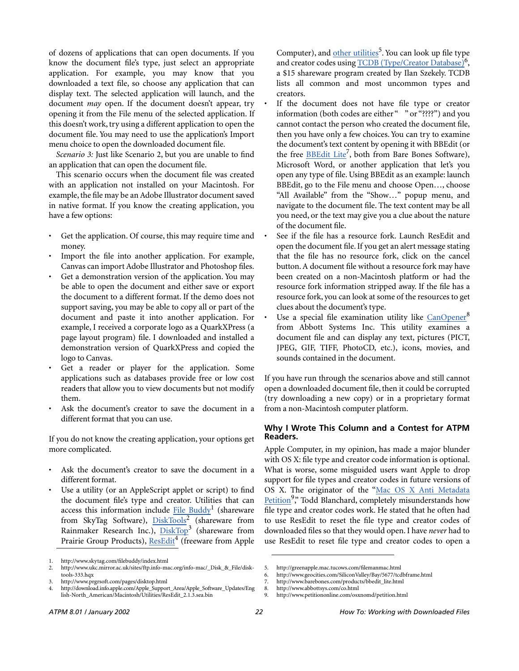of dozens of applications that can open documents. If you know the document file's type, just select an appropriate application. For example, you may know that you downloaded a text file, so choose any application that can display text. The selected application will launch, and the document *may* open. If the document doesn't appear, try opening it from the File menu of the selected application. If this doesn't work, try using a different application to open the document file. You may need to use the application's Import menu choice to open the downloaded document file.

*Scenario 3:* Just like Scenario 2, but you are unable to find an application that can open the document file.

This scenario occurs when the document file was created with an application not installed on your Macintosh. For example, the file may be an Adobe Illustrator document saved in native format. If you know the creating application, you have a few options:

- Get the application. Of course, this may require time and money.
- Import the file into another application. For example, Canvas can import Adobe Illustrator and Photoshop files.
- Get a demonstration version of the application. You may be able to open the document and either save or export the document to a different format. If the demo does not support saving, you may be able to copy all or part of the document and paste it into another application. For example, I received a corporate logo as a QuarkXPress (a page layout program) file. I downloaded and installed a demonstration version of QuarkXPress and copied the logo to Canvas.
- Get a reader or player for the application. Some applications such as databases provide free or low cost readers that allow you to view documents but not modify them.
- Ask the document's creator to save the document in a different format that you can use.

If you do not know the creating application, your options get more complicated.

- Ask the document's creator to save the document in a different format.
- Use a utility (or an AppleScript applet or script) to find the document file's type and creator. Utilities that can access this information include File Buddy<sup>1</sup> (shareware from SkyTag Software), [DiskTools](http://www.ukc.mirror.ac.uk/sites/ftp.info-mac.org/info-mac/_Disk_&_File/disk-tools-333.hqx)<sup>2</sup> (shareware from Rainmaker Research Inc.), [DiskTop](http://www.prgrsoft.com/pages/disktop.html)<sup>3</sup> (shareware from Prairie Group Products), [ResEdit](http://download.info.apple.com/Apple_Support_Area/Apple_Software_Updates/English-North_American/Macintosh/Utilities/ResEdit_2.1.3.sea.bin)<sup>4</sup> (freeware from Apple

Computer), and [other utilities](http://greenapple.mac.tucows.com/filemanmac.html)<sup>5</sup>. You can look up file type and creator codes using [TCDB \(Type/Creator Database\)](http://www.geocities.com/SiliconValley/Bay/5677/tcdbframe.html)<sup>6</sup>, a \$15 shareware program created by Ilan Szekely. TCDB lists all common and most uncommon types and creators.

- If the document does not have file type or creator information (both codes are either " " or "????") and you cannot contact the person who created the document file, then you have only a few choices. You can try to examine the document's text content by opening it with BBEdit (or the free **BBEdit Lite<sup>7</sup>**, both from Bare Bones Software), Microsoft Word, or another application that let's you open any type of file. Using BBEdit as an example: launch BBEdit, go to the File menu and choose Open…, choose "All Available" from the "Show…" popup menu, and navigate to the document file. The text content may be all you need, or the text may give you a clue about the nature of the document file.
- See if the file has a resource fork. Launch ResEdit and open the document file. If you get an alert message stating that the file has no resource fork, click on the cancel button. A document file without a resource fork may have been created on a non-Macintosh platform or had the resource fork information stripped away. If the file has a resource fork, you can look at some of the resources to get clues about the document's type.
- Use a special file examination utility like [CanOpener](http://www.abbottsys.com/co.html)<sup>8</sup> from Abbott Systems Inc. This utility examines a document file and can display any text, pictures (PICT, JPEG, GIF, TIFF, PhotoCD, etc.), icons, movies, and sounds contained in the document.

If you have run through the scenarios above and still cannot open a downloaded document file, then it could be corrupted (try downloading a new copy) or in a proprietary format from a non-Macintosh computer platform.

#### **Why I Wrote This Column and a Contest for ATPM Readers.**

Apple Computer, in my opinion, has made a major blunder with OS X: file type and creator code information is optional. What is worse, some misguided users want Apple to drop support for file types and creator codes in future versions of OS X. The originator of the ["Mac OS X Anti Metadata](http://www.petitiononline.com/osxnomd/petition.html) [Petition](http://www.petitiononline.com/osxnomd/petition.html)<sup>9</sup>," Todd Blanchard, completely misunderstands how file type and creator codes work. He stated that he often had to use ResEdit to reset the file type and creator codes of downloaded files so that they would open. I have *never* had to use ResEdit to reset file type and creator codes to open a

<sup>1.</sup> http://www.skytag.com/filebuddy/index.html

<sup>2.</sup> http://www.ukc.mirror.ac.uk/sites/ftp.info-mac.org/info-mac/\_Disk\_&\_File/disktools-333.hqx

<sup>3.</sup> http://www.prgrsoft.com/pages/disktop.html

<sup>4.</sup> http://download.info.apple.com/Apple\_Support\_Area/Apple\_Software\_Updates/Eng lish-North\_American/Macintosh/Utilities/ResEdit\_2.1.3.sea.bin

<sup>5.</sup> http://greenapple.mac.tucows.com/filemanmac.html

<sup>6.</sup> http://www.geocities.com/SiliconValley/Bay/5677/tcdbframe.html

<sup>7.</sup> http://www.barebones.com/products/bbedit\_lite.html

<sup>8.</sup> http://www.abbottsys.com/co.html

<sup>9.</sup> http://www.petitiononline.com/osxnomd/petition.html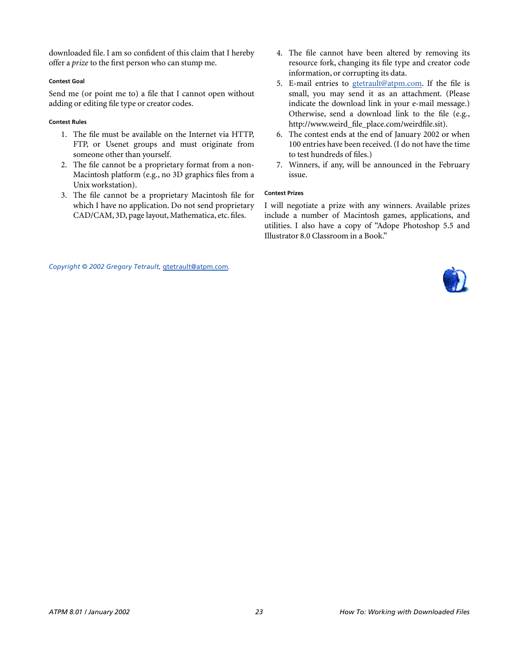downloaded file. I am so confident of this claim that I hereby offer a *prize* to the first person who can stump me.

#### **Contest Goal**

Send me (or point me to) a file that I cannot open without adding or editing file type or creator codes.

#### **Contest Rules**

- 1. The file must be available on the Internet via HTTP, FTP, or Usenet groups and must originate from someone other than yourself.
- 2. The file cannot be a proprietary format from a non-Macintosh platform (e.g., no 3D graphics files from a Unix workstation).
- 3. The file cannot be a proprietary Macintosh file for which I have no application. Do not send proprietary CAD/CAM, 3D, page layout, Mathematica, etc. files.
- 4. The file cannot have been altered by removing its resource fork, changing its file type and creator code information, or corrupting its data.
- 5. E-mail entries to [gtetrault@atpm.com.](mailto:gtetrault@atpm.com) If the file is small, you may send it as an attachment. (Please indicate the download link in your e-mail message.) Otherwise, send a download link to the file (e.g., http://www.weird\_file\_place.com/weirdfile.sit).
- 6. The contest ends at the end of January 2002 or when 100 entries have been received. (I do not have the time to test hundreds of files.)
- 7. Winners, if any, will be announced in the February issue.

#### **Contest Prizes**

I will negotiate a prize with any winners. Available prizes include a number of Macintosh games, applications, and utilities. I also have a copy of "Adope Photoshop 5.5 and Illustrator 8.0 Classroom in a Book."

*Copyright © 2002 Gregory Tetrault,* [gtetrault@atpm.com](mailto:gtetrault@atpm.com)*.*

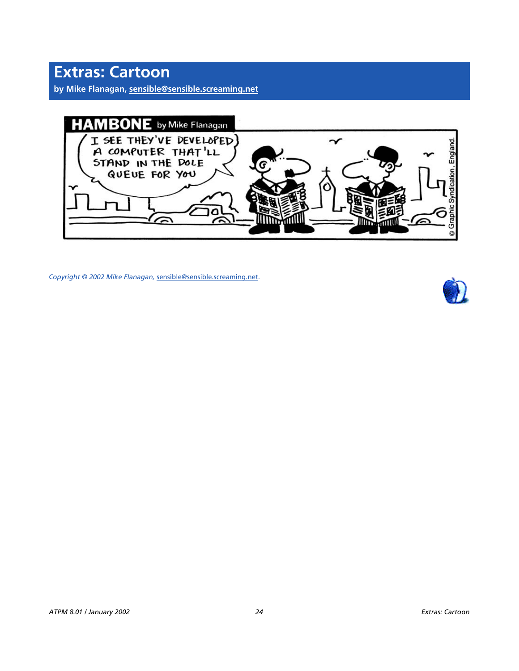**by Mike Flanagan, [sensible@sensible.screaming.net](mailto:sensible@sensible.screaming.net)**



*Copyright © 2002 Mike Flanagan,* [sensible@sensible.screaming.net](mailto:sensible@sensible.screaming.net)*.*

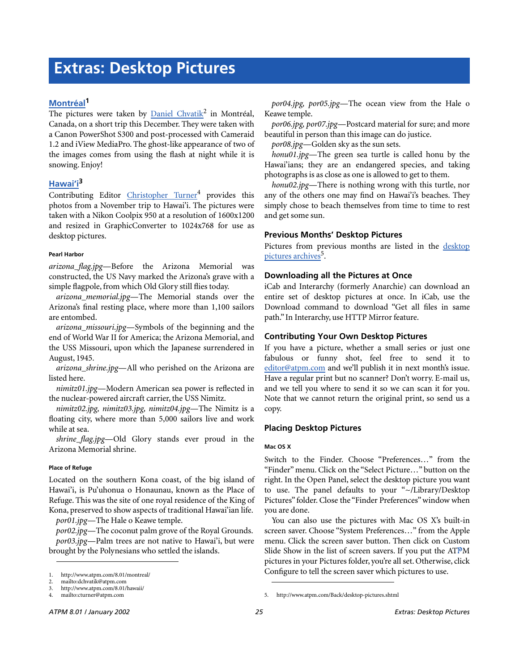#### **[Montréal1](http://www.atpm.com/8.01/montreal/)**

The pictures were taken by **Daniel Chvatik<sup>2</sup>** in Montréal, Canada, on a short trip this December. They were taken with a Canon PowerShot S300 and post-processed with Cameraid 1.2 and iView MediaPro. The ghost-like appearance of two of the images comes from using the flash at night while it is snowing. Enjoy!

#### **[Hawai'i](http://www.atpm.com/8.01/hawaii/)3**

Contributing Editor *[Christopher Turner](mailto:cturner@atpm.com)*<sup>4</sup> provides this photos from a November trip to Hawai'i. The pictures were taken with a Nikon Coolpix 950 at a resolution of 1600x1200 and resized in GraphicConverter to 1024x768 for use as desktop pictures.

#### **Pearl Harbor**

*arizona\_flag.jpg*—Before the Arizona Memorial was constructed, the US Navy marked the Arizona's grave with a simple flagpole, from which Old Glory still flies today.

*arizona\_memorial.jpg*—The Memorial stands over the Arizona's final resting place, where more than 1,100 sailors are entombed.

*arizona\_missouri.jpg*—Symbols of the beginning and the end of World War II for America; the Arizona Memorial, and the USS Missouri, upon which the Japanese surrendered in August, 1945.

*arizona\_shrine.jpg*—All who perished on the Arizona are listed here.

*nimitz01.jpg*—Modern American sea power is reflected in the nuclear-powered aircraft carrier, the USS Nimitz.

*nimitz02.jpg, nimitz03.jpg, nimitz04.jpg*—The Nimitz is a floating city, where more than 5,000 sailors live and work while at sea.

*shrine\_flag.jpg*—Old Glory stands ever proud in the Arizona Memorial shrine.

#### **Place of Refuge**

Located on the southern Kona coast, of the big island of Hawai'i, is Pu'uhonua o Honaunau, known as the Place of Refuge. This was the site of one royal residence of the King of Kona, preserved to show aspects of traditional Hawai'ian life.

*por01.jpg*—The Hale o Keawe temple.

*por02.jpg*—The coconut palm grove of the Royal Grounds. *por03.jpg*—Palm trees are not native to Hawai'i, but were brought by the Polynesians who settled the islands.

*por04.jpg, por05.jpg*—The ocean view from the Hale o Keawe temple.

*por06.jpg, por07.jpg*—Postcard material for sure; and more beautiful in person than this image can do justice.

*por08.jpg*—Golden sky as the sun sets.

*honu01.jpg*—The green sea turtle is called honu by the Hawai'ians; they are an endangered species, and taking photographs is as close as one is allowed to get to them.

*honu02.jpg*—There is nothing wrong with this turtle, nor any of the others one may find on Hawai'i's beaches. They simply chose to beach themselves from time to time to rest and get some sun.

#### **Previous Months' Desktop Pictures**

Pictures from previous months are listed in the [desktop](http://www.atpm.com/Back/desktop-pictures.shtml) [pictures archives](http://www.atpm.com/Back/desktop-pictures.shtml)<sup>5</sup>.

#### **Downloading all the Pictures at Once**

iCab and Interarchy (formerly Anarchie) can download an entire set of desktop pictures at once. In iCab, use the Download command to download "Get all files in same path." In Interarchy, use HTTP Mirror feature.

#### **Contributing Your Own Desktop Pictures**

If you have a picture, whether a small series or just one fabulous or funny shot, feel free to send it to [editor@atpm.com](mailto:editor@atpm.com) and we'll publish it in next month's issue. Have a regular print but no scanner? Don't worry. E-mail us, and we tell you where to send it so we can scan it for you. Note that we cannot return the original print, so send us a copy.

#### **Placing Desktop Pictures**

#### **Mac OS X**

Switch to the Finder. Choose "Preferences…" from the "Finder" menu. Click on the "Select Picture…" button on the right. In the Open Panel, select the desktop picture you want to use. The panel defaults to your "~/Library/Desktop Pictures" folder. Close the "Finder Preferences" window when you are done.

You can also use the pictures with Mac OS X's built-in screen saver. Choose "System Preferences…" from the Apple menu. Click the screen saver button. Then click on Custom Slide Show in the list of screen savers. If you put the ATPM pictures in your Pictures folder, you're all set. Otherwise, click Configure to tell the screen saver which pictures to use.

<sup>1.</sup> http://www.atpm.com/8.01/montreal/

<sup>2.</sup> mailto:dchvatik@atpm.com

<sup>3.</sup> http://www.atpm.com/8.01/hawaii/<br>4. mailto:cturner@atpm.com

<sup>4.</sup> mailto:cturner@atpm.com 5. http://www.atpm.com/Back/desktop-pictures.shtml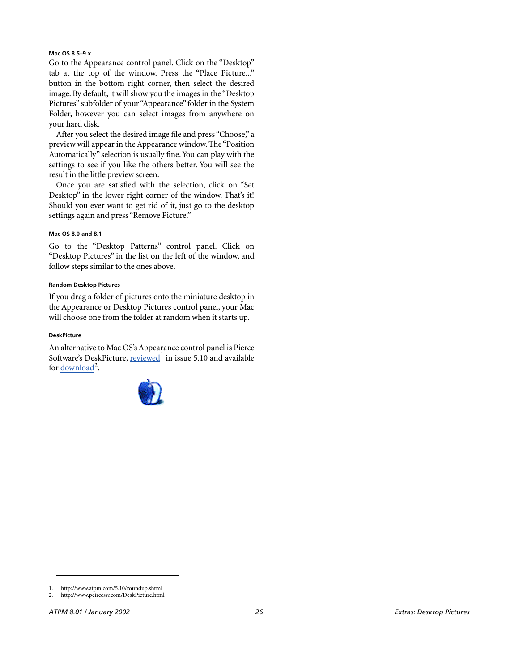#### **Mac OS 8.5–9.x**

Go to the Appearance control panel. Click on the "Desktop" tab at the top of the window. Press the "Place Picture..." button in the bottom right corner, then select the desired image. By default, it will show you the images in the "Desktop Pictures" subfolder of your "Appearance" folder in the System Folder, however you can select images from anywhere on your hard disk.

After you select the desired image file and press "Choose," a preview will appear in the Appearance window. The "Position Automatically" selection is usually fine. You can play with the settings to see if you like the others better. You will see the result in the little preview screen.

Once you are satisfied with the selection, click on "Set Desktop" in the lower right corner of the window. That's it! Should you ever want to get rid of it, just go to the desktop settings again and press "Remove Picture."

#### **Mac OS 8.0 and 8.1**

Go to the "Desktop Patterns" control panel. Click on "Desktop Pictures" in the list on the left of the window, and follow steps similar to the ones above.

#### **Random Desktop Pictures**

If you drag a folder of pictures onto the miniature desktop in the Appearance or Desktop Pictures control panel, your Mac will choose one from the folder at random when it starts up.

#### **DeskPicture**

An alternative to Mac OS's Appearance control panel is Pierce Software's DeskPicture, [reviewed](http://www.atpm.com/5.10/roundup.shtml)<sup>1</sup> in issue 5.10 and available for <u>download</u><sup>2</sup>.



<sup>1.</sup> http://www.atpm.com/5.10/roundup.shtml

<sup>2.</sup> http://www.peircesw.com/DeskPicture.html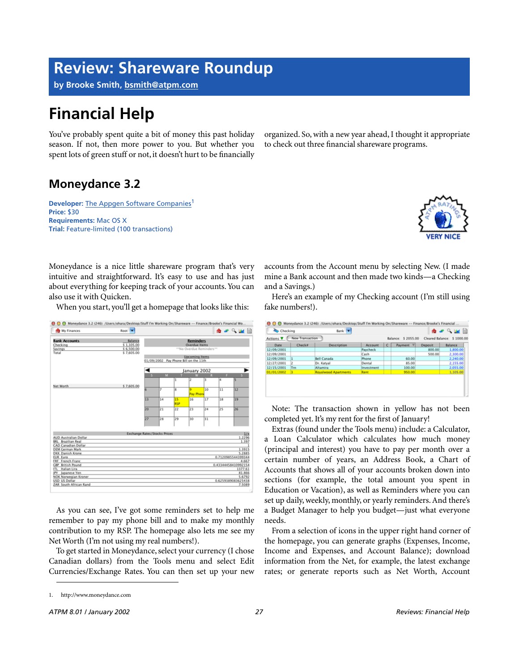### **Review: Shareware Roundup**

**by Brooke Smith, [bsmith@atpm.com](mailto:bsmith@atpm.com)**

## **Financial Help**

You've probably spent quite a bit of money this past holiday season. If not, then more power to you. But whether you spent lots of green stuff or not, it doesn't hurt to be financially

organized. So, with a new year ahead, I thought it appropriate to check out three financial shareware programs.

### **Moneydance 3.2**

**Developer:** [The Appgen Software Companies](http://www.moneydance.com)<sup>1</sup> **Price:** \$30 **Requirements:** Mac OS X **Trial:** Feature-limited (100 transactions)



Moneydance is a nice little shareware program that's very intuitive and straightforward. It's easy to use and has just about everything for keeping track of your accounts. You can also use it with Quicken.

When you start, you'll get a homepage that looks like this:



As you can see, I've got some reminders set to help me remember to pay my phone bill and to make my monthly contribution to my RSP. The homepage also lets me see my Net Worth (I'm not using my real numbers!).

To get started in Moneydance, select your currency (I chose Canadian dollars) from the Tools menu and select Edit Currencies/Exchange Rates. You can then set up your new

accounts from the Account menu by selecting New. (I made mine a Bank account and then made two kinds—a Checking and a Savings.)

Here's an example of my Checking account (I'm still using fake numbers!).

| Checking                                                                                  |        | Bank V                      |            |    |           |         | <b>A</b> - Quantil |
|-------------------------------------------------------------------------------------------|--------|-----------------------------|------------|----|-----------|---------|--------------------|
| New Transaction<br>Balance: \$ 2055.00<br>Cleared Balance: \$ 1000.00<br>Actions <b>V</b> |        |                             |            |    |           |         |                    |
| Date                                                                                      | Check# | Description                 | Account    | c. | Payment V | Deposit | Balance            |
| 12/09/2001                                                                                |        |                             | Paycheck   |    |           | 800.00  | 1,800.00           |
| 12/09/2001                                                                                |        |                             | Cash       |    |           | 500.00  | 2,300.00           |
| 12/09/2001                                                                                |        | Bell Canada                 | Phone      |    | 60.00     |         | 2,240.00           |
| 12/27/2001                                                                                |        | Dr. Katval                  | Dental     |    | 85.00     |         | 2.155.00           |
| 12/15/2001                                                                                | Trn    | <b>Altamira</b>             | Investment |    | 100.00    |         | 2.055.00           |
| 01/01/2002                                                                                |        | <b>Royalwood Apartments</b> | Rent       |    | 950.00    |         | 1,105.00           |

Note: The transaction shown in yellow has not been completed yet. It's my rent for the first of January!

Extras (found under the Tools menu) include: a Calculator, a Loan Calculator which calculates how much money (principal and interest) you have to pay per month over a certain number of years, an Address Book, a Chart of Accounts that shows all of your accounts broken down into sections (for example, the total amount you spent in Education or Vacation), as well as Reminders where you can set up daily, weekly, monthly, or yearly reminders. And there's a Budget Manager to help you budget—just what everyone needs.

From a selection of icons in the upper right hand corner of the homepage, you can generate graphs (Expenses, Income, Income and Expenses, and Account Balance); download information from the Net, for example, the latest exchange rates; or generate reports such as Net Worth, Account

<sup>1.</sup> http://www.moneydance.com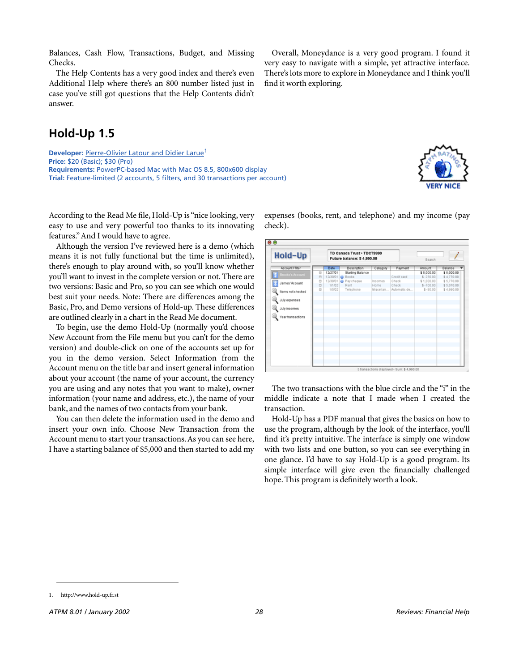1. http://www.hold-up.fr.st

Balances, Cash Flow, Transactions, Budget, and Missing Checks.

The Help Contents has a very good index and there's even Additional Help where there's an 800 number listed just in case you've still got questions that the Help Contents didn't answer.

**Hold-Up 1.5**

**Developer:** [Pierre-Olivier Latour and Didier Larue](http://www.hold-up.fr.st)<sup>1</sup> **Price:** \$20 (Basic); \$30 (Pro) **Requirements:** PowerPC-based Mac with Mac OS 8.5, 800x600 display **Trial:** Feature-limited (2 accounts, 5 filters, and 30 transactions per account)

According to the Read Me file, Hold-Up is "nice looking, very easy to use and very powerful too thanks to its innovating features." And I would have to agree.

Although the version I've reviewed here is a demo (which means it is not fully functional but the time is unlimited), there's enough to play around with, so you'll know whether you'll want to invest in the complete version or not. There are two versions: Basic and Pro, so you can see which one would best suit your needs. Note: There are differences among the Basic, Pro, and Demo versions of Hold-up. These differences are outlined clearly in a chart in the Read Me document.

To begin, use the demo Hold-Up (normally you'd choose New Account from the File menu but you can't for the demo version) and double-click on one of the accounts set up for you in the demo version. Select Information from the Account menu on the title bar and insert general information about your account (the name of your account, the currency you are using and any notes that you want to make), owner information (your name and address, etc.), the name of your bank, and the names of two contacts from your bank.

You can then delete the information used in the demo and insert your own info. Choose New Transaction from the Account menu to start your transactions. As you can see here, I have a starting balance of \$5,000 and then started to add my

expenses (books, rent, and telephone) and my income (pay check).

Miscellan

TD Canada Trust . TDCT9990

Future balance: \$4,990.00

Description **Starting Balan O** Books

o Pay cheque

1/1/0

Overall, Moneydance is a very good program. I found it very easy to navigate with a simple, yet attractive interface. There's lots more to explore in Moneydance and I think you'll

find it worth exploring.

 $\bullet$ e

**Hold-Up** 

Account / filter

James' Account

Items not checked July expenses July incomes Year transactions

 $\circledcirc$ 12/30/01

The two transactions with the blue circle and the "i" in the middle indicate a note that I made when I created the transaction.

Hold-Up has a PDF manual that gives the basics on how to use the program, although by the look of the interface, you'll find it's pretty intuitive. The interface is simply one window with two lists and one button, so you can see everything in one glance. I'd have to say Hold-Up is a good program. Its simple interface will give even the financially challenged hope. This program is definitely worth a look.





Search

 $$-230.00$ 

 $$-700.00$ 

 $$ - R0.00$ 

redit card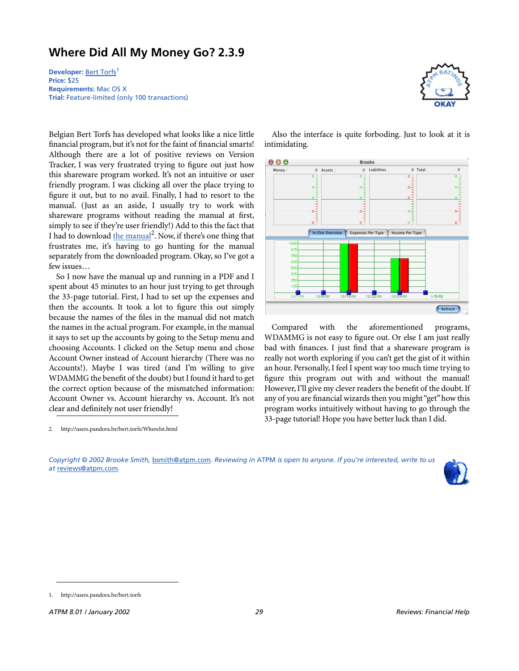### **Where Did All My Money Go? 2.3.9**

**Developer:** [Bert Torfs](http://users.pandora.be/bert.torfs)<sup>1</sup> **Price:** \$25 **Requirements:** Mac OS X **Trial:** Feature-limited (only 100 transactions)

Belgian Bert Torfs has developed what looks like a nice little financial program, but it's not for the faint of financial smarts! Although there are a lot of positive reviews on Version Tracker, I was very frustrated trying to figure out just how this shareware program worked. It's not an intuitive or user friendly program. I was clicking all over the place trying to figure it out, but to no avail. Finally, I had to resort to the manual. (Just as an aside, I usually try to work with shareware programs without reading the manual at first, simply to see if they're user friendly!) Add to this the fact that I had to download [the manual](http://users.pandora.be/bert.torfs/WhereIst.html)<sup>2</sup>. Now, if there's one thing that frustrates me, it's having to go hunting for the manual separately from the downloaded program. Okay, so I've got a few issues…

So I now have the manual up and running in a PDF and I spent about 45 minutes to an hour just trying to get through the 33-page tutorial. First, I had to set up the expenses and then the accounts. It took a lot to figure this out simply because the names of the files in the manual did not match the names in the actual program. For example, in the manual it says to set up the accounts by going to the Setup menu and choosing Accounts. I clicked on the Setup menu and chose Account Owner instead of Account hierarchy (There was no Accounts!). Maybe I was tired (and I'm willing to give WDAMMG the benefit of the doubt) but I found it hard to get the correct option because of the mismatched information: Account Owner vs. Account hierarchy vs. Account. It's not clear and definitely not user friendly!

2. http://users.pandora.be/bert.torfs/WhereIst.html



 $000$ **Brooke** 0 Total Money 0 Assets Liabilities  $\theta$  $\theta$ °، سالسا öŽ  $0 \frac{1}{2}$  $0 -$ ڊ<br>آه  $^{\circ}$ In/Out Overview Expenses Per Type | Income Per Type roo  $\mathbf{g}$  $\overline{r}$ 62 m. 37  $12$  $\frac{1}{12}$  $12/22/01$  $12/8$  $12/15/01$  $12/29/01$  $1/5/02$ Refresh

Also the interface is quite forboding. Just to look at it is

intimidating.

Compared with the aforementioned programs, WDAMMG is not easy to figure out. Or else I am just really bad with finances. I just find that a shareware program is really not worth exploring if you can't get the gist of it within an hour. Personally, I feel I spent way too much time trying to figure this program out with and without the manual! However, I'll give my clever readers the benefit of the doubt. If any of you are financial wizards then you might "get" how this program works intuitively without having to go through the 33-page tutorial! Hope you have better luck than I did.

*Copyright © 2002 Brooke Smith,* [bsmith@atpm.com](mailto:bsmith@atpm.com)*. Reviewing in* ATPM *is open to anyone. If you're interested, write to us at* [reviews@atpm.com](mailto:reviews@atpm.com)*.*



<sup>1.</sup> http://users.pandora.be/bert.torfs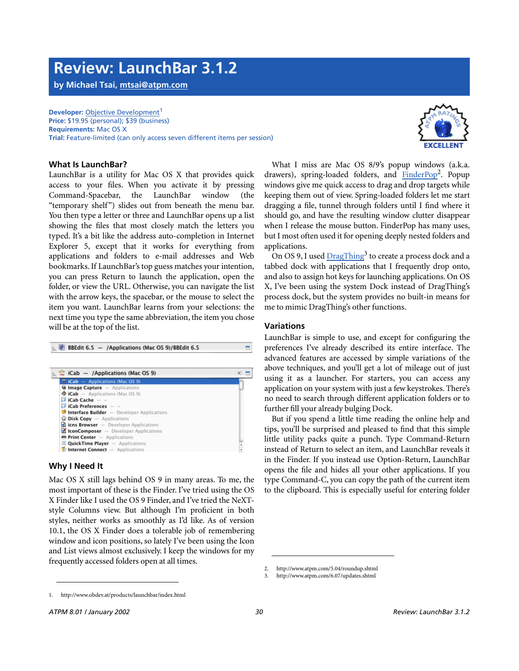1. http://www.obdev.at/products/launchbar/index.html

### **Review: LaunchBar 3.1.2**

**by Michael Tsai, [mtsai@atpm.com](mailto:mtsai@atpm.com)**

**Developer: [Objective Development](http://www.obdev.at/products/launchbar/index.html)<sup>1</sup> Price:** \$19.95 (personal); \$39 (business) **Requirements:** Mac OS X **Trial:** Feature-limited (can only access seven different items per session)

#### **What Is LaunchBar?**

LaunchBar is a utility for Mac OS X that provides quick access to your files. When you activate it by pressing Command-Spacebar, the LaunchBar window (the "temporary shelf") slides out from beneath the menu bar. You then type a letter or three and LaunchBar opens up a list showing the files that most closely match the letters you typed. It's a bit like the address auto-completion in Internet Explorer 5, except that it works for everything from applications and folders to e-mail addresses and Web bookmarks. If LaunchBar's top guess matches your intention, you can press Return to launch the application, open the folder, or view the URL. Otherwise, you can navigate the list with the arrow keys, the spacebar, or the mouse to select the item you want. LaunchBar learns from your selections: the next time you type the same abbreviation, the item you chose will be at the top of the list.

#### B BBEdit 6.5 - /Applications (Mac OS 9)/BBEdit 6.5  $\blacksquare$  $\therefore$  iCab – /Applications (Mac OS 9)  $IC$   $\Box$  $\approx$  iCab - Applications (Mac OS 9) **U Image Capture** - Applications Applications (Mac OS 9)  $\triangle$  iCab iCab Cache iCab Preferences -Interface Builder - Developer Applications **Disk Copy** - Applications icns Browser - Developer Applications KiconComposer - Developer Applications Print Center - Applications **QuickTime Player** - Applications  $\bullet$  Internet Connect  $-$  Applications

#### **Why I Need It**

Mac OS X still lags behind OS 9 in many areas. To me, the most important of these is the Finder. I've tried using the OS X Finder like I used the OS 9 Finder, and I've tried the NeXTstyle Columns view. But although I'm proficient in both styles, neither works as smoothly as I'd like. As of version 10.1, the OS X Finder does a tolerable job of remembering window and icon positions, so lately I've been using the Icon and List views almost exclusively. I keep the windows for my frequently accessed folders open at all times.

What I miss are Mac OS 8/9's popup windows (a.k.a. drawers), spring-loaded folders, and [FinderPop](http://www.atpm.com/5.04/roundup.shtml)<sup>2</sup>. Popup windows give me quick access to drag and drop targets while keeping them out of view. Spring-loaded folders let me start dragging a file, tunnel through folders until I find where it should go, and have the resulting window clutter disappear when I release the mouse button. FinderPop has many uses, but I most often used it for opening deeply nested folders and applications.

On OS 9, I used **[DragThing](http://www.atpm.com/6.07/updates.shtml)<sup>3</sup> to create a process dock and a** tabbed dock with applications that I frequently drop onto, and also to assign hot keys for launching applications. On OS X, I've been using the system Dock instead of DragThing's process dock, but the system provides no built-in means for me to mimic DragThing's other functions.

#### **Variations**

LaunchBar is simple to use, and except for configuring the preferences I've already described its entire interface. The advanced features are accessed by simple variations of the above techniques, and you'll get a lot of mileage out of just using it as a launcher. For starters, you can access any application on your system with just a few keystrokes. There's no need to search through different application folders or to further fill your already bulging Dock.

But if you spend a little time reading the online help and tips, you'll be surprised and pleased to find that this simple little utility packs quite a punch. Type Command-Return instead of Return to select an item, and LaunchBar reveals it in the Finder. If you instead use Option-Return, LaunchBar opens the file and hides all your other applications. If you type Command-C, you can copy the path of the current item to the clipboard. This is especially useful for entering folder

<sup>3.</sup> http://www.atpm.com/6.07/updates.shtml





<sup>2.</sup> http://www.atpm.com/5.04/roundup.shtml<br>3. http://www.atpm.com/6.07/updates.shtml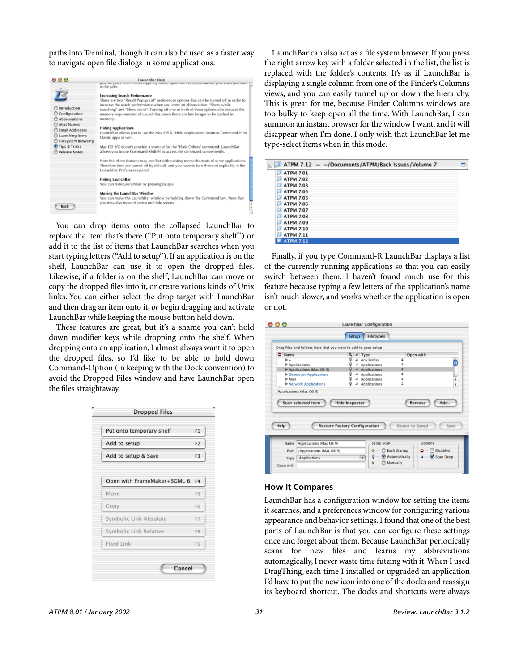paths into Terminal, though it can also be used as a faster way to navigate open file dialogs in some applications.

| 000                                                                                                                                                                            | LaunchBar Help                                                                                                                                                                                                                                                                                                                                                                                                                                                                                                                                                                                                                                                                                                                                                                                                                                                                                                                                                                                                                                                  |
|--------------------------------------------------------------------------------------------------------------------------------------------------------------------------------|-----------------------------------------------------------------------------------------------------------------------------------------------------------------------------------------------------------------------------------------------------------------------------------------------------------------------------------------------------------------------------------------------------------------------------------------------------------------------------------------------------------------------------------------------------------------------------------------------------------------------------------------------------------------------------------------------------------------------------------------------------------------------------------------------------------------------------------------------------------------------------------------------------------------------------------------------------------------------------------------------------------------------------------------------------------------|
| Introduction<br>Configuration<br>Abbreviations<br>Alias Names<br><b>Email Addresses</b><br>C Launching Items<br><b>O</b> Filesystem Browsing<br>Tips & Tricks<br>Release Notes | pain, ne paint rear in cannon applier is there. Queen nine i anch you can only pain, nearly paint, un<br>no file paths.<br><b>Increasing Search Performance</b><br>There are two "Result Popup List" preferences options that can be turned off in order to<br>increase the seach performance when you enter an abbreviation: "Show while<br>searching" and "Show icons". Turning off one or both of these options also reduces the<br>memory requirements of LaunchBar, since there are less images to be cached in<br>memory.<br><b>Hiding Applications</b><br>LaunchBar allows you to use the Mac OS X "Hide Application" shortcut Command-H in<br>Classic apps as well.<br>Mac OS 9/X doesn't provide a shortcut for the "Hide Others" command. LaunchBar<br>allows you to use Command-Shift-H to access this command conveniently.<br>Note that these features may conflict with existing menu shortcuts of some applications.<br>Therefore they are turned off by default, and you have to turn them on explicitly in the<br>LaunchBar Preferences panel. |
| Back                                                                                                                                                                           | <b>Hiding LaunchBar</b><br>You can hide LaunchBar by pressing Escape.<br>Moving the LaunchBar Window<br>You can move the LaunchBar window by holding down the Command key. Note that<br>you may also move it across multiple sceens.                                                                                                                                                                                                                                                                                                                                                                                                                                                                                                                                                                                                                                                                                                                                                                                                                            |

You can drop items onto the collapsed LaunchBar to replace the item that's there ("Put onto temporary shelf") or add it to the list of items that LaunchBar searches when you start typing letters ("Add to setup"). If an application is on the shelf, LaunchBar can use it to open the dropped files. Likewise, if a folder is on the shelf, LaunchBar can move or copy the dropped files into it, or create various kinds of Unix links. You can either select the drop target with LaunchBar and then drag an item onto it, *or* begin dragging and activate LaunchBar while keeping the mouse button held down.

These features are great, but it's a shame you can't hold down modifier keys while dropping onto the shelf. When dropping onto an application, I almost always want it to open the dropped files, so I'd like to be able to hold down Command-Option (in keeping with the Dock convention) to avoid the Dropped Files window and have LaunchBar open the files straightaway.

| Put onto temporary shelf    | F <sub>1</sub> |
|-----------------------------|----------------|
| Add to setup                | F <sub>2</sub> |
| Add to setup & Save         | F <sub>3</sub> |
|                             |                |
| Open with FrameMaker+SGML 6 | F4             |
| Move                        | F <sub>5</sub> |
| Copy                        | F6             |
| Symbolic Link Absolute      | F7             |
| Symbolic Link Relative      | F8             |
| Hard Link                   | F9             |

LaunchBar can also act as a file system browser. If you press the right arrow key with a folder selected in the list, the list is replaced with the folder's contents. It's as if LaunchBar is displaying a single column from one of the Finder's Columns views, and you can easily tunnel up or down the hierarchy. This is great for me, because Finder Columns windows are too bulky to keep open all the time. With LaunchBar, I can summon an instant browser for the window I want, and it will disappear when I'm done. I only wish that LaunchBar let me type-select items when in this mode.

| ATPM 7.12 - ~/Documents/ATPM/Back Issues/Volume 7 |  |
|---------------------------------------------------|--|
| <b>ATPM 7.01</b><br>n                             |  |
| <b>ATPM 7.02</b>                                  |  |
| <b>ATPM 7.03</b>                                  |  |
| <b>ATPM 7.04</b><br>α                             |  |
| <b>ATPM 7.05</b><br>а                             |  |
| <b>ATPM 7.06</b>                                  |  |
| <b>ATPM 7.07</b>                                  |  |
| <b>ATPM 7.08</b><br>α                             |  |
| <b>ATPM 7.09</b>                                  |  |
| <b>ATPM 7.10</b>                                  |  |
| <b>ATPM 7.11</b>                                  |  |
| <b>ATPM 7.12</b>                                  |  |

Finally, if you type Command-R LaunchBar displays a list of the currently running applications so that you can easily switch between them. I haven't found much use for this feature because typing a few letters of the application's name isn't much slower, and works whether the application is open or not.

| Drag files and folders here that you want to add to your setup<br>C Name |                            |                                      |                 |                                      |               |
|--------------------------------------------------------------------------|----------------------------|--------------------------------------|-----------------|--------------------------------------|---------------|
| ь                                                                        |                            | $Q$ $\neq$ Type<br>Any Folder        | ۵               | Open with                            |               |
| Applications                                                             |                            | Applications                         |                 |                                      |               |
| Applications (Mac OS 9)                                                  | o                          | 4 Applications                       | ¢               |                                      |               |
| Developer Applications                                                   | Q                          | 4 Applications                       | ۵               |                                      |               |
| $ightharpoonup$ Mail                                                     | Q                          | 4 Applications                       | ÷               |                                      | $\frac{4}{7}$ |
| I Network Applications                                                   |                            |                                      |                 |                                      |               |
| /Applications (Mac OS 9)<br>Scan selected item                           | Q<br><b>Hide Inspector</b> | 4 Applications                       | ٠               | Remove                               | Add           |
| Help                                                                     |                            | <b>Restore Factory Configuration</b> | Revert to Saved |                                      | Save          |
| Applications (Mac OS 9)<br>Name                                          |                            | Setup Scan                           | C Each Startup  | Options<br>$\bullet$ $\Box$ Disabled |               |

#### **How It Compares**

LaunchBar has a configuration window for setting the items it searches, and a preferences window for configuring various appearance and behavior settings. I found that one of the best parts of LaunchBar is that you can configure these settings once and forget about them. Because LaunchBar periodically scans for new files and learns my abbreviations automagically, I never waste time futzing with it. When I used DragThing, each time I installed or upgraded an application I'd have to put the new icon into one of the docks and reassign its keyboard shortcut. The docks and shortcuts were always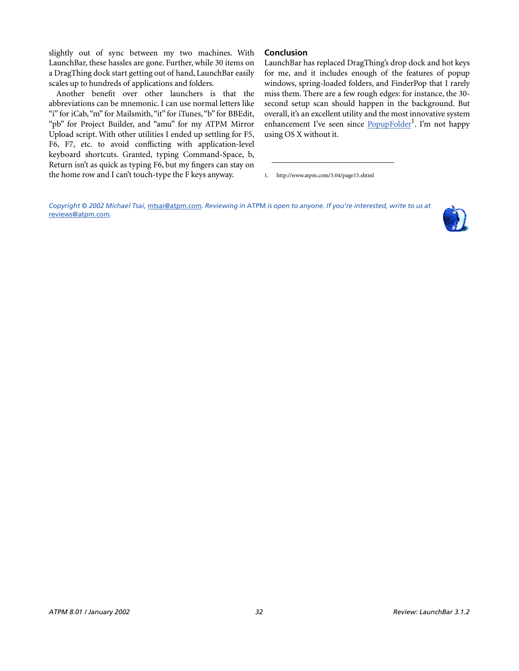slightly out of sync between my two machines. With LaunchBar, these hassles are gone. Further, while 30 items on a DragThing dock start getting out of hand, LaunchBar easily scales up to hundreds of applications and folders.

Another benefit over other launchers is that the abbreviations can be mnemonic. I can use normal letters like "i" for iCab, "m" for Mailsmith, "it" for iTunes, "b" for BBEdit, "pb" for Project Builder, and "amu" for my ATPM Mirror Upload script. With other utilities I ended up settling for F5, F6, F7, etc. to avoid conflicting with application-level keyboard shortcuts. Granted, typing Command-Space, b, Return isn't as quick as typing F6, but my fingers can stay on the home row and I can't touch-type the F keys anyway.

#### **Conclusion**

LaunchBar has replaced DragThing's drop dock and hot keys for me, and it includes enough of the features of popup windows, spring-loaded folders, and FinderPop that I rarely miss them. There are a few rough edges: for instance, the 30 second setup scan should happen in the background. But overall, it's an excellent utility and the most innovative system enhancement I've seen since **[PopupFolder](http://www.atpm.com/3.04/page15.shtml)**<sup>1</sup>. I'm not happy using OS X without it.

1. http://www.atpm.com/3.04/page15.shtml

*Copyright © 2002 Michael Tsai,* [mtsai@atpm.com](mailto:mtsai@atpm.com)*. Reviewing in* ATPM *is open to anyone. If you're interested, write to us at*  [reviews@atpm.com](mailto:reviews@atpm.com)*.*

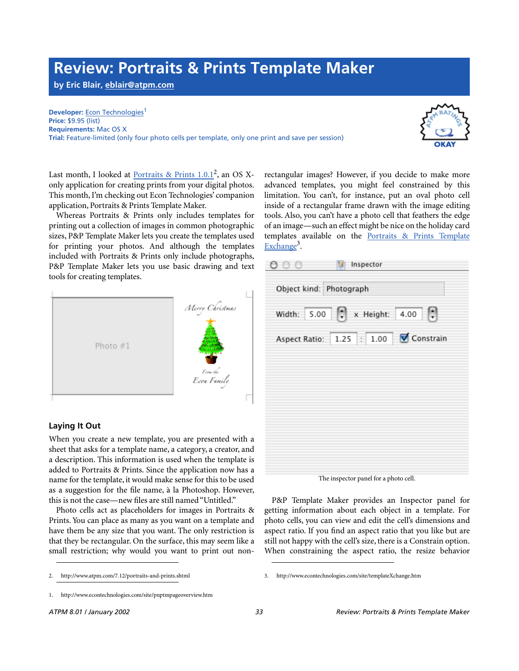### **Review: Portraits & Prints Template Maker**

**by Eric Blair, [eblair@atpm.com](mailto:eblair@atpm.com)**

**Developer:** [Econ Technologies](http://www.econtechnologies.com/site/pnptmpageoverview.htm)<sup>1</sup> **Price:** \$9.95 (list) **Requirements:** Mac OS X **Trial:** Feature-limited (only four photo cells per template, only one print and save per session)



Last month, I looked at **[Portraits & Prints 1.0.1](http://www.atpm.com/7.12/portraits-and-prints.shtml)<sup>2</sup>**, an OS Xonly application for creating prints from your digital photos. This month, I'm checking out Econ Technologies' companion application, Portraits & Prints Template Maker.

Whereas Portraits & Prints only includes templates for printing out a collection of images in common photographic sizes, P&P Template Maker lets you create the templates used for printing your photos. And although the templates included with Portraits & Prints only include photographs, P&P Template Maker lets you use basic drawing and text tools for creating templates.



#### **Laying It Out**

When you create a new template, you are presented with a sheet that asks for a template name, a category, a creator, and a description. This information is used when the template is added to Portraits & Prints. Since the application now has a name for the template, it would make sense for this to be used as a suggestion for the file name, à la Photoshop. However, this is not the case—new files are still named "Untitled."

Photo cells act as placeholders for images in Portraits & Prints. You can place as many as you want on a template and have them be any size that you want. The only restriction is that they be rectangular. On the surface, this may seem like a small restriction; why would you want to print out nonrectangular images? However, if you decide to make more advanced templates, you might feel constrained by this limitation. You can't, for instance, put an oval photo cell inside of a rectangular frame drawn with the image editing tools. Also, you can't have a photo cell that feathers the edge of an image—such an effect might be nice on the holiday card templates available on the [Portraits & Prints Template](http://www.econtechnologies.com/site/templateXchange.htm) [Exchange](http://www.econtechnologies.com/site/templateXchange.htm)<sup>3</sup>.

| <b>○ 3</b> Inspector    |                                            |
|-------------------------|--------------------------------------------|
| Object kind: Photograph |                                            |
|                         | Width: $5.00$ $\rightarrow$ x Height: 4.00 |
|                         | Aspect Ratio: 1.25 : 1.00 V Constrain      |
|                         |                                            |
|                         |                                            |
|                         |                                            |
|                         |                                            |
|                         |                                            |

The inspector panel for a photo cell.

P&P Template Maker provides an Inspector panel for getting information about each object in a template. For photo cells, you can view and edit the cell's dimensions and aspect ratio. If you find an aspect ratio that you like but are still not happy with the cell's size, there is a Constrain option. When constraining the aspect ratio, the resize behavior

<sup>2.</sup> http://www.atpm.com/7.12/portraits-and-prints.shtml

<sup>1.</sup> http://www.econtechnologies.com/site/pnptmpageoverview.htm

<sup>3.</sup> http://www.econtechnologies.com/site/templateXchange.htm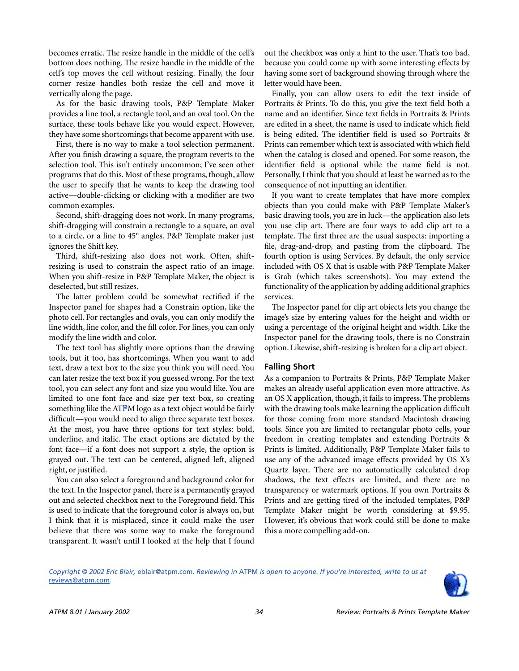becomes erratic. The resize handle in the middle of the cell's bottom does nothing. The resize handle in the middle of the cell's top moves the cell without resizing. Finally, the four corner resize handles both resize the cell and move it vertically along the page.

As for the basic drawing tools, P&P Template Maker provides a line tool, a rectangle tool, and an oval tool. On the surface, these tools behave like you would expect. However, they have some shortcomings that become apparent with use.

First, there is no way to make a tool selection permanent. After you finish drawing a square, the program reverts to the selection tool. This isn't entirely uncommon; I've seen other programs that do this. Most of these programs, though, allow the user to specify that he wants to keep the drawing tool active—double-clicking or clicking with a modifier are two common examples.

Second, shift-dragging does not work. In many programs, shift-dragging will constrain a rectangle to a square, an oval to a circle, or a line to 45° angles. P&P Template maker just ignores the Shift key.

Third, shift-resizing also does not work. Often, shiftresizing is used to constrain the aspect ratio of an image. When you shift-resize in P&P Template Maker, the object is deselected, but still resizes.

The latter problem could be somewhat rectified if the Inspector panel for shapes had a Constrain option, like the photo cell. For rectangles and ovals, you can only modify the line width, line color, and the fill color. For lines, you can only modify the line width and color.

The text tool has slightly more options than the drawing tools, but it too, has shortcomings. When you want to add text, draw a text box to the size you think you will need. You can later resize the text box if you guessed wrong. For the text tool, you can select any font and size you would like. You are limited to one font face and size per text box, so creating something like the ATPM logo as a text object would be fairly difficult—you would need to align three separate text boxes. At the most, you have three options for text styles: bold, underline, and italic. The exact options are dictated by the font face—if a font does not support a style, the option is grayed out. The text can be centered, aligned left, aligned right, or justified.

You can also select a foreground and background color for the text. In the Inspector panel, there is a permanently grayed out and selected checkbox next to the Foreground field. This is used to indicate that the foreground color is always on, but I think that it is misplaced, since it could make the user believe that there was some way to make the foreground transparent. It wasn't until I looked at the help that I found

out the checkbox was only a hint to the user. That's too bad, because you could come up with some interesting effects by having some sort of background showing through where the letter would have been.

Finally, you can allow users to edit the text inside of Portraits & Prints. To do this, you give the text field both a name and an identifier. Since text fields in Portraits & Prints are edited in a sheet, the name is used to indicate which field is being edited. The identifier field is used so Portraits & Prints can remember which text is associated with which field when the catalog is closed and opened. For some reason, the identifier field is optional while the name field is not. Personally, I think that you should at least be warned as to the consequence of not inputting an identifier.

If you want to create templates that have more complex objects than you could make with P&P Template Maker's basic drawing tools, you are in luck—the application also lets you use clip art. There are four ways to add clip art to a template. The first three are the usual suspects: importing a file, drag-and-drop, and pasting from the clipboard. The fourth option is using Services. By default, the only service included with OS X that is usable with P&P Template Maker is Grab (which takes screenshots). You may extend the functionality of the application by adding additional graphics services.

The Inspector panel for clip art objects lets you change the image's size by entering values for the height and width or using a percentage of the original height and width. Like the Inspector panel for the drawing tools, there is no Constrain option. Likewise, shift-resizing is broken for a clip art object.

#### **Falling Short**

As a companion to Portraits & Prints, P&P Template Maker makes an already useful application even more attractive. As an OS X application, though, it fails to impress. The problems with the drawing tools make learning the application difficult for those coming from more standard Macintosh drawing tools. Since you are limited to rectangular photo cells, your freedom in creating templates and extending Portraits & Prints is limited. Additionally, P&P Template Maker fails to use any of the advanced image effects provided by OS X's Quartz layer. There are no automatically calculated drop shadows, the text effects are limited, and there are no transparency or watermark options. If you own Portraits & Prints and are getting tired of the included templates, P&P Template Maker might be worth considering at \$9.95. However, it's obvious that work could still be done to make this a more compelling add-on.

*Copyright © 2002 Eric Blair,* [eblair@atpm.com](mailto:eblair@atpm.com)*. Reviewing in* ATPM *is open to anyone. If you're interested, write to us at*  [reviews@atpm.com](mailto:reviews@atpm.com)*.*

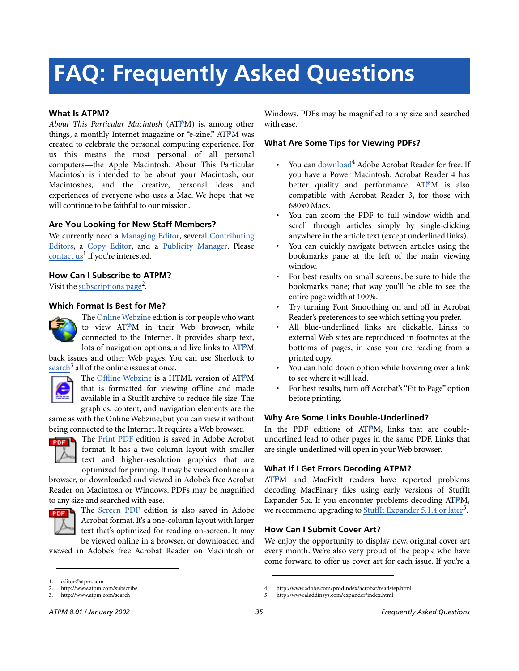# **FAQ: Frequently Asked Questions**

#### **What Is ATPM?**

*About This Particular Macintosh* (ATPM) is, among other things, a monthly Internet magazine or "e-zine." ATPM was created to celebrate the personal computing experience. For us this means the most personal of all personal computers—the Apple Macintosh. About This Particular Macintosh is intended to be about your Macintosh, our Macintoshes, and the creative, personal ideas and experiences of everyone who uses a Mac. We hope that we will continue to be faithful to our mission.

#### **Are You Looking for New Staff Members?**

We currently need a Managing Editor, several Contributing Editors, a Copy Editor, and a Publicity Manager. Please contact  $us^1$  if you're interested.

#### **How Can I Subscribe to ATPM?**

Visit the [subscriptions page](http://www.atpm.com/subscribe)<sup>2</sup>.

#### **Which Format Is Best for Me?**



The Online Webzine edition is for people who want to view ATPM in their Web browser, while connected to the Internet. It provides sharp text, lots of navigation options, and live links to ATPM

back issues and other Web pages. You can use Sherlock to  $\frac{\text{search}^3}{\text{all}}$  $\frac{\text{search}^3}{\text{all}}$  $\frac{\text{search}^3}{\text{all}}$  all of the online issues at once.



The Offline Webzine is a HTML version of ATPM that is formatted for viewing offline and made available in a StuffIt archive to reduce file size. The graphics, content, and navigation elements are the

same as with the Online Webzine, but you can view it without being connected to the Internet. It requires a Web browser.



The Print PDF edition is saved in Adobe Acrobat format. It has a two-column layout with smaller text and higher-resolution graphics that are optimized for printing. It may be viewed online in a

browser, or downloaded and viewed in Adobe's free Acrobat Reader on Macintosh or Windows. PDFs may be magnified to any size and searched with ease.



**FORE** The Screen PDF edition is also saved in Adobe Acrobat format. It's a one-column layout with larger text that's optimized for reading on-screen. It may be viewed online in a browser, or downloaded and

viewed in Adobe's free Acrobat Reader on Macintosh or

Windows. PDFs may be magnified to any size and searched with ease.

#### **What Are Some Tips for Viewing PDFs?**

- You can [download](http://www.adobe.com/prodindex/acrobat/readstep.html)<sup>4</sup> Adobe Acrobat Reader for free. If you have a Power Macintosh, Acrobat Reader 4 has better quality and performance. ATPM is also compatible with Acrobat Reader 3, for those with 680x0 Macs.
- You can zoom the PDF to full window width and scroll through articles simply by single-clicking anywhere in the article text (except underlined links).
- You can quickly navigate between articles using the bookmarks pane at the left of the main viewing window.
- For best results on small screens, be sure to hide the bookmarks pane; that way you'll be able to see the entire page width at 100%.
- Try turning Font Smoothing on and off in Acrobat Reader's preferences to see which setting you prefer.
- All blue-underlined links are clickable. Links to external Web sites are reproduced in footnotes at the bottoms of pages, in case you are reading from a printed copy.
- You can hold down option while hovering over a link to see where it will lead.
- For best results, turn off Acrobat's "Fit to Page" option before printing.

#### **Why Are Some Links Double-Underlined?**

In the PDF editions of ATPM, links that are doubleunderlined lead to other pages in the same PDF. Links that are single-underlined will open in your Web browser.

#### **What If I Get Errors Decoding ATPM?**

ATPM and MacFixIt readers have reported problems decoding MacBinary files using early versions of StuffIt Expander 5.x. If you encounter problems decoding ATPM, we recommend upgrading to **StuffIt Expander 5.1.4** or later<sup>5</sup>.

#### **How Can I Submit Cover Art?**

We enjoy the opportunity to display new, original cover art every month. We're also very proud of the people who have come forward to offer us cover art for each issue. If you're a

<sup>1.</sup> editor@atpm.com

<sup>2.</sup> http://www.atpm.com/subscribe<br>3. http://www.atpm.com/search

http://www.atpm.com/search

<sup>4.</sup> http://www.adobe.com/prodindex/acrobat/readstep.html

<sup>5.</sup> http://www.aladdinsys.com/expander/index.html